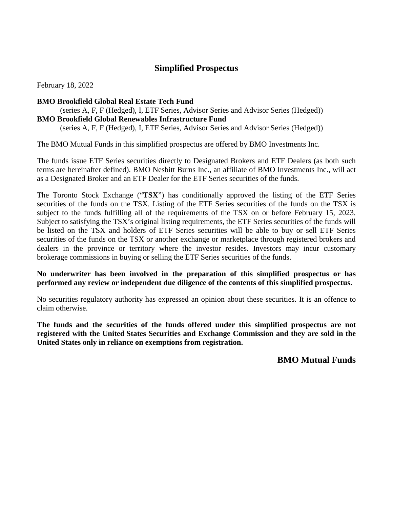# **Simplified Prospectus**

February 18, 2022

#### **BMO Brookfield Global Real Estate Tech Fund**

 (series A, F, F (Hedged), I, ETF Series, Advisor Series and Advisor Series (Hedged)) **BMO Brookfield Global Renewables Infrastructure Fund** 

(series A, F, F (Hedged), I, ETF Series, Advisor Series and Advisor Series (Hedged))

The BMO Mutual Funds in this simplified prospectus are offered by BMO Investments Inc.

 The funds issue ETF Series securities directly to Designated Brokers and ETF Dealers (as both such terms are hereinafter defined). BMO Nesbitt Burns Inc., an affiliate of BMO Investments Inc., will act as a Designated Broker and an ETF Dealer for the ETF Series securities of the funds.

 The Toronto Stock Exchange ("**TSX**") has conditionally approved the listing of the ETF Series securities of the funds on the TSX. Listing of the ETF Series securities of the funds on the TSX is subject to the funds fulfilling all of the requirements of the TSX on or before February 15, 2023. be listed on the TSX and holders of ETF Series securities will be able to buy or sell ETF Series securities of the funds on the TSX or another exchange or marketplace through registered brokers and dealers in the province or territory where the investor resides. Investors may incur customary Subject to satisfying the TSX's original listing requirements, the ETF Series securities of the funds will brokerage commissions in buying or selling the ETF Series securities of the funds.

#### **No underwriter has been involved in the preparation of this simplified prospectus or has performed any review or independent due diligence of the contents of this simplified prospectus.**

 No securities regulatory authority has expressed an opinion about these securities. It is an offence to claim otherwise.

 **The funds and the securities of the funds offered under this simplified prospectus are not registered with the United States Securities and Exchange Commission and they are sold in the United States only in reliance on exemptions from registration.** 

 **BMO Mutual Funds**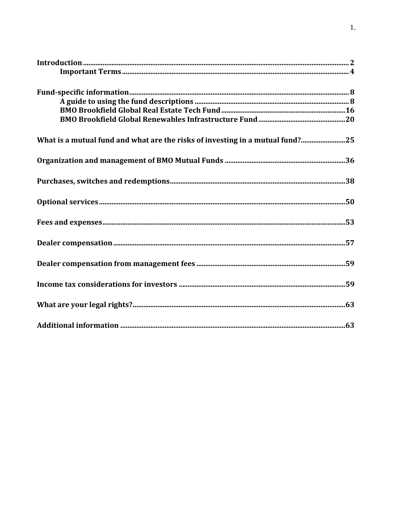| What is a mutual fund and what are the risks of investing in a mutual fund?25 |  |
|-------------------------------------------------------------------------------|--|
|                                                                               |  |
|                                                                               |  |
|                                                                               |  |
|                                                                               |  |
|                                                                               |  |
|                                                                               |  |
|                                                                               |  |
|                                                                               |  |
|                                                                               |  |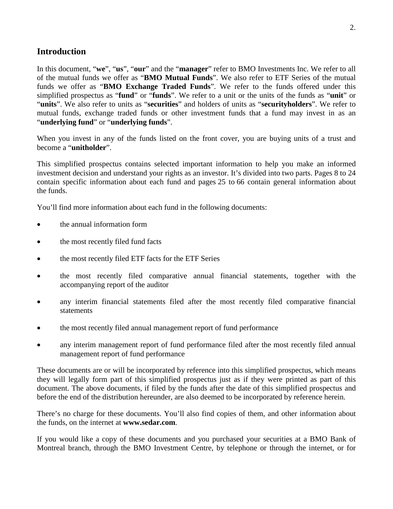# <span id="page-2-0"></span>**Introduction**

 In this document, "**we**", "**us**", "**our**" and the "**manager**" refer to BMO Investments Inc. We refer to all of the mutual funds we offer as "**BMO Mutual Funds**". We also refer to ETF Series of the mutual funds we offer as "**BMO Exchange Traded Funds**". We refer to the funds offered under this simplified prospectus as "**fund**" or "**funds**". We refer to a unit or the units of the funds as "**unit**" or "**units**". We also refer to units as "**securities**" and holders of units as "**securityholders**". We refer to mutual funds, exchange traded funds or other investment funds that a fund may invest in as an "**underlying fund**" or "**underlying funds**".

 When you invest in any of the funds listed on the front cover, you are buying units of a trust and become a "**unitholder**".

 This simplified prospectus contains selected important information to help you make an informed contain specific information about each fund and pages 25 to 66 contain general information about investment decision and understand your rights as an investor. It's divided into two parts. Pages 8 to 24 the funds.

You'll find more information about each fund in the following documents:

- the annual information form
- the most recently filed fund facts
- the most recently filed ETF facts for the ETF Series
- the most recently filed comparative annual financial statements, together with the accompanying report of the auditor
- any interim financial statements filed after the most recently filed comparative financial statements
- the most recently filed annual management report of fund performance
- any interim management report of fund performance filed after the most recently filed annual management report of fund performance

 These documents are or will be incorporated by reference into this simplified prospectus, which means they will legally form part of this simplified prospectus just as if they were printed as part of this document. The above documents, if filed by the funds after the date of this simplified prospectus and before the end of the distribution hereunder, are also deemed to be incorporated by reference herein.

 There's no charge for these documents. You'll also find copies of them, and other information about the funds, on the internet at **www.sedar.com**.

 If you would like a copy of these documents and you purchased your securities at a BMO Bank of Montreal branch, through the BMO Investment Centre, by telephone or through the internet, or for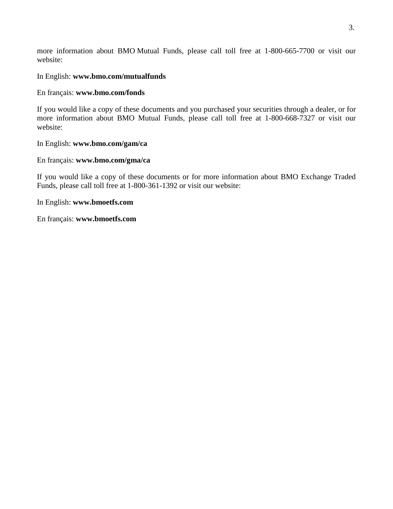more information about BMO Mutual Funds, please call toll free at 1-800-665-7700 or visit our website:

#### In English: **www.bmo.com/mutualfunds**

#### En français: **www.bmo.com/fonds**

If you would like a copy of these documents and you purchased your securities through a dealer, or for more information about BMO Mutual Funds, please call toll free at 1-800-668-7327 or visit our website:

#### In English: **www.bmo.com/gam/ca**

#### En français: **www.bmo.com/gma/ca**

If you would like a copy of these documents or for more information about BMO Exchange Traded Funds, please call toll free at 1-800-361-1392 or visit our website:

#### In English: **www.bmoetfs.com**

En français: **www.bmoetfs.com**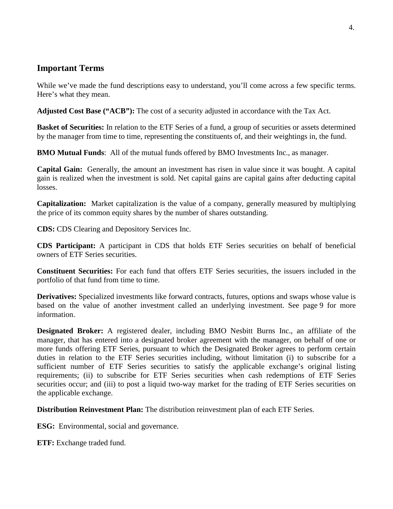# <span id="page-4-0"></span> **Important Terms**

While we've made the fund descriptions easy to understand, you'll come across a few specific terms. Here's what they mean.

**Adjusted Cost Base ("ACB"):** The cost of a security adjusted in accordance with the Tax Act.

Basket of Securities: In relation to the ETF Series of a fund, a group of securities or assets determined by the manager from time to time, representing the constituents of, and their weightings in, the fund.

**BMO Mutual Funds**: All of the mutual funds offered by BMO Investments Inc., as manager.

 **Capital Gain:** Generally, the amount an investment has risen in value since it was bought. A capital gain is realized when the investment is sold. Net capital gains are capital gains after deducting capital losses.

 **Capitalization:** Market capitalization is the value of a company, generally measured by multiplying the price of its common equity shares by the number of shares outstanding.

**CDS:** CDS Clearing and Depository Services Inc.

 **CDS Participant:** A participant in CDS that holds ETF Series securities on behalf of beneficial owners of ETF Series securities.

 **Constituent Securities:** For each fund that offers ETF Series securities, the issuers included in the portfolio of that fund from time to time.

 **Derivatives:** Specialized investments like forward contracts, futures, options and swaps whose value is based on the value of another investment called an underlying investment. See page 9 for more information.

 **Designated Broker:** A registered dealer, including BMO Nesbitt Burns Inc., an affiliate of the manager, that has entered into a designated broker agreement with the manager, on behalf of one or more funds offering ETF Series, pursuant to which the Designated Broker agrees to perform certain duties in relation to the ETF Series securities including, without limitation (i) to subscribe for a sufficient number of ETF Series securities to satisfy the applicable exchange's original listing requirements; (ii) to subscribe for ETF Series securities when cash redemptions of ETF Series securities occur; and (iii) to post a liquid two-way market for the trading of ETF Series securities on the applicable exchange.

**Distribution Reinvestment Plan:** The distribution reinvestment plan of each ETF Series.

**ESG:** Environmental, social and governance.

**ETF:** Exchange traded fund.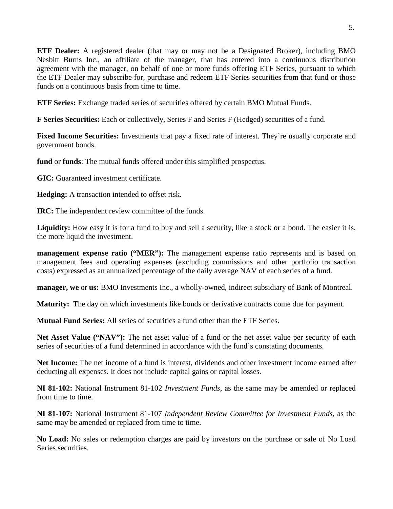**ETF Dealer:** A registered dealer (that may or may not be a Designated Broker), including BMO Nesbitt Burns Inc., an affiliate of the manager, that has entered into a continuous distribution agreement with the manager, on behalf of one or more funds offering ETF Series, pursuant to which the ETF Dealer may subscribe for, purchase and redeem ETF Series securities from that fund or those funds on a continuous basis from time to time.

**ETF Series:** Exchange traded series of securities offered by certain BMO Mutual Funds.

**F Series Securities:** Each or collectively, Series F and Series F (Hedged) securities of a fund.

**Fixed Income Securities:** Investments that pay a fixed rate of interest. They're usually corporate and government bonds.

**fund** or **funds**: The mutual funds offered under this simplified prospectus.

**GIC:** Guaranteed investment certificate.

**Hedging:** A transaction intended to offset risk.

**IRC:** The independent review committee of the funds.

Liquidity: How easy it is for a fund to buy and sell a security, like a stock or a bond. The easier it is, the more liquid the investment.

**management expense ratio ("MER"):** The management expense ratio represents and is based on management fees and operating expenses (excluding commissions and other portfolio transaction costs) expressed as an annualized percentage of the daily average NAV of each series of a fund.

**manager, we** or **us:** BMO Investments Inc., a wholly-owned, indirect subsidiary of Bank of Montreal.

**Maturity:** The day on which investments like bonds or derivative contracts come due for payment.

**Mutual Fund Series:** All series of securities a fund other than the ETF Series.

**Net Asset Value ("NAV"):** The net asset value of a fund or the net asset value per security of each series of securities of a fund determined in accordance with the fund's constating documents.

 **Net Income:** The net income of a fund is interest, dividends and other investment income earned after deducting all expenses. It does not include capital gains or capital losses.

**NI 81-102:** National Instrument 81-102 *Investment Funds*, as the same may be amended or replaced from time to time.

**NI 81-107:** National Instrument 81-107 *Independent Review Committee for Investment Funds*, as the same may be amended or replaced from time to time.

**No Load:** No sales or redemption charges are paid by investors on the purchase or sale of No Load Series securities.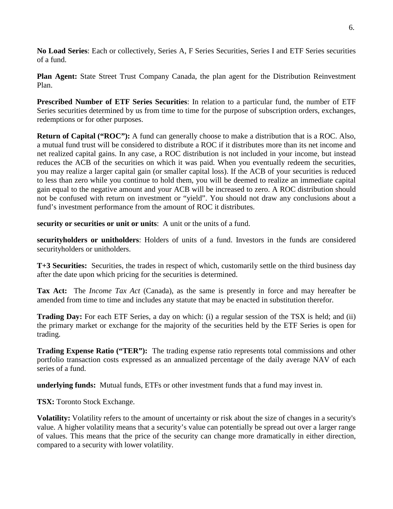**No Load Series**: Each or collectively, Series A, F Series Securities, Series I and ETF Series securities of a fund.

Plan Agent: State Street Trust Company Canada, the plan agent for the Distribution Reinvestment Plan.

 **Prescribed Number of ETF Series Securities**: In relation to a particular fund, the number of ETF Series securities determined by us from time to time for the purpose of subscription orders, exchanges, redemptions or for other purposes.

**Return of Capital ("ROC"):** A fund can generally choose to make a distribution that is a ROC. Also, a mutual fund trust will be considered to distribute a ROC if it distributes more than its net income and net realized capital gains. In any case, a ROC distribution is not included in your income, but instead reduces the ACB of the securities on which it was paid. When you eventually redeem the securities, you may realize a larger capital gain (or smaller capital loss). If the ACB of your securities is reduced to less than zero while you continue to hold them, you will be deemed to realize an immediate capital gain equal to the negative amount and your ACB will be increased to zero. A ROC distribution should not be confused with return on investment or "yield". You should not draw any conclusions about a fund's investment performance from the amount of ROC it distributes.

**security or securities or unit or units**: A unit or the units of a fund.

 **securityholders or unitholders**: Holders of units of a fund. Investors in the funds are considered securityholders or unitholders.

**T+3 Securities:** Securities, the trades in respect of which, customarily settle on the third business day after the date upon which pricing for the securities is determined.

 **Tax Act:** The *Income Tax Act* (Canada), as the same is presently in force and may hereafter be amended from time to time and includes any statute that may be enacted in substitution therefor.

 **Trading Day:** For each ETF Series, a day on which: (i) a regular session of the TSX is held; and (ii) the primary market or exchange for the majority of the securities held by the ETF Series is open for trading.

**Trading Expense Ratio ("TER"):** The trading expense ratio represents total commissions and other portfolio transaction costs expressed as an annualized percentage of the daily average NAV of each series of a fund.

**underlying funds:** Mutual funds, ETFs or other investment funds that a fund may invest in.

**TSX:** Toronto Stock Exchange.

 of values. This means that the price of the security can change more dramatically in either direction, **Volatility:** Volatility refers to the amount of uncertainty or risk about the size of changes in a security's value. A higher volatility means that a security's value can potentially be spread out over a larger range compared to a security with lower volatility.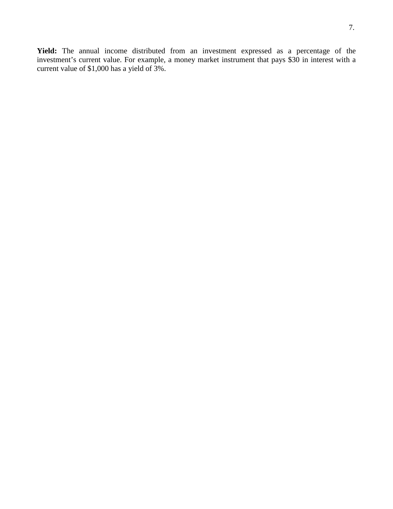current value of \$1,000 has a yield of 3%. **Yield:** The annual income distributed from an investment expressed as a percentage of the investment's current value. For example, a money market instrument that pays \$30 in interest with a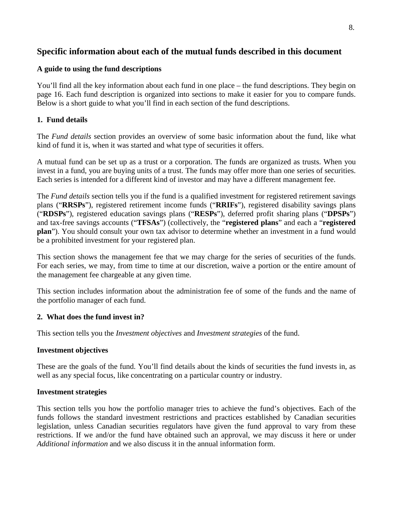# <span id="page-8-0"></span>**Specific information about each of the mutual funds described in this document**

#### **A guide to using the fund descriptions**

 You'll find all the key information about each fund in one place – the fund descriptions. They begin on page 16. Each fund description is organized into sections to make it easier for you to compare funds. Below is a short guide to what you'll find in each section of the fund descriptions.

## **1. Fund details**

 The *Fund details* section provides an overview of some basic information about the fund, like what kind of fund it is, when it was started and what type of securities it offers.

 A mutual fund can be set up as a trust or a corporation. The funds are organized as trusts. When you invest in a fund, you are buying units of a trust. The funds may offer more than one series of securities. Each series is intended for a different kind of investor and may have a different management fee.

 The *Fund details* section tells you if the fund is a qualified investment for registered retirement savings plans ("**RRSPs**"), registered retirement income funds ("**RRIFs**"), registered disability savings plans ("**RDSPs**"), registered education savings plans ("**RESPs**"), deferred profit sharing plans ("**DPSPs**") and tax-free savings accounts ("**TFSAs**") (collectively, the "**registered plans**" and each a "**registered plan**"). You should consult your own tax advisor to determine whether an investment in a fund would be a prohibited investment for your registered plan.

 This section shows the management fee that we may charge for the series of securities of the funds. For each series, we may, from time to time at our discretion, waive a portion or the entire amount of the management fee chargeable at any given time.

 This section includes information about the administration fee of some of the funds and the name of the portfolio manager of each fund.

## **2. What does the fund invest in?**

This section tells you the *Investment objectives* and *Investment strategies* of the fund.

#### **Investment objectives**

 These are the goals of the fund. You'll find details about the kinds of securities the fund invests in, as well as any special focus, like concentrating on a particular country or industry.

## **Investment strategies**

 This section tells you how the portfolio manager tries to achieve the fund's objectives. Each of the legislation, unless Canadian securities regulators have given the fund approval to vary from these restrictions. If we and/or the fund have obtained such an approval, we may discuss it here or under funds follows the standard investment restrictions and practices established by Canadian securities *Additional information* and we also discuss it in the annual information form.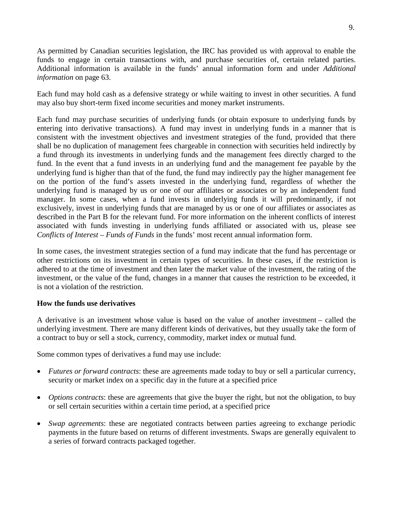As permitted by Canadian securities legislation, the IRC has provided us with approval to enable the funds to engage in certain transactions with, and purchase securities of, certain related parties. Additional information is available in the funds' annual information form and under *Additional information* on page 63.

 Each fund may hold cash as a defensive strategy or while waiting to invest in other securities. A fund may also buy short-term fixed income securities and money market instruments.

 Each fund may purchase securities of underlying funds (or obtain exposure to underlying funds by entering into derivative transactions). A fund may invest in underlying funds in a manner that is consistent with the investment objectives and investment strategies of the fund, provided that there shall be no duplication of management fees chargeable in connection with securities held indirectly by fund. In the event that a fund invests in an underlying fund and the management fee payable by the underlying fund is higher than that of the fund, the fund may indirectly pay the higher management fee on the portion of the fund's assets invested in the underlying fund, regardless of whether the underlying fund is managed by us or one of our affiliates or associates or by an independent fund manager. In some cases, when a fund invests in underlying funds it will predominantly, if not exclusively, invest in underlying funds that are managed by us or one of our affiliates or associates as described in the Part B for the relevant fund. For more information on the inherent conflicts of interest associated with funds investing in underlying funds affiliated or associated with us, please see a fund through its investments in underlying funds and the management fees directly charged to the *Conflicts of Interest – Funds of Funds* in the funds' most recent annual information form.

 In some cases, the investment strategies section of a fund may indicate that the fund has percentage or other restrictions on its investment in certain types of securities. In these cases, if the restriction is adhered to at the time of investment and then later the market value of the investment, the rating of the investment, or the value of the fund, changes in a manner that causes the restriction to be exceeded, it is not a violation of the restriction.

## **How the funds use derivatives**

 A derivative is an investment whose value is based on the value of another investment – called the underlying investment. There are many different kinds of derivatives, but they usually take the form of a contract to buy or sell a stock, currency, commodity, market index or mutual fund.

Some common types of derivatives a fund may use include:

- *Futures or forward contracts*: these are agreements made today to buy or sell a particular currency, security or market index on a specific day in the future at a specified price
- *Options contracts*: these are agreements that give the buyer the right, but not the obligation, to buy or sell certain securities within a certain time period, at a specified price
- *Swap agreements*: these are negotiated contracts between parties agreeing to exchange periodic payments in the future based on returns of different investments. Swaps are generally equivalent to a series of forward contracts packaged together.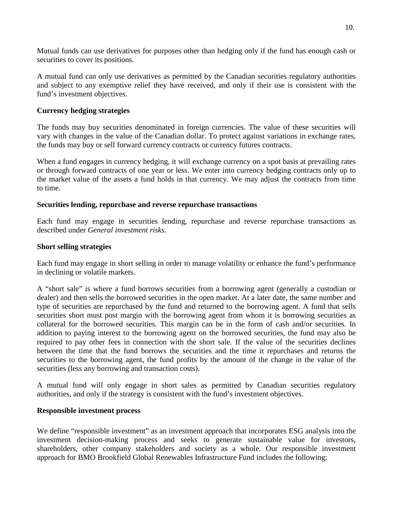Mutual funds can use derivatives for purposes other than hedging only if the fund has enough cash or securities to cover its positions.

 A mutual fund can only use derivatives as permitted by the Canadian securities regulatory authorities and subject to any exemptive relief they have received, and only if their use is consistent with the fund's investment objectives.

#### **Currency hedging strategies**

 The funds may buy securities denominated in foreign currencies. The value of these securities will vary with changes in the value of the Canadian dollar. To protect against variations in exchange rates, the funds may buy or sell forward currency contracts or currency futures contracts.

 When a fund engages in currency hedging, it will exchange currency on a spot basis at prevailing rates or through forward contracts of one year or less. We enter into currency hedging contracts only up to the market value of the assets a fund holds in that currency. We may adjust the contracts from time to time.

#### **Securities lending, repurchase and reverse repurchase transactions**

 Each fund may engage in securities lending, repurchase and reverse repurchase transactions as described under *General investment risks*.

#### **Short selling strategies**

 Each fund may engage in short selling in order to manage volatility or enhance the fund's performance in declining or volatile markets.

 A "short sale" is where a fund borrows securities from a borrowing agent (generally a custodian or dealer) and then sells the borrowed securities in the open market. At a later date, the same number and type of securities are repurchased by the fund and returned to the borrowing agent. A fund that sells securities short must post margin with the borrowing agent from whom it is borrowing securities as collateral for the borrowed securities. This margin can be in the form of cash and/or securities. In addition to paying interest to the borrowing agent on the borrowed securities, the fund may also be required to pay other fees in connection with the short sale. If the value of the securities declines between the time that the fund borrows the securities and the time it repurchases and returns the securities to the borrowing agent, the fund profits by the amount of the change in the value of the securities (less any borrowing and transaction costs).

 A mutual fund will only engage in short sales as permitted by Canadian securities regulatory authorities, and only if the strategy is consistent with the fund's investment objectives.

#### **Responsible investment process**

We define "responsible investment" as an investment approach that incorporates ESG analysis into the investment decision-making process and seeks to generate sustainable value for investors, shareholders, other company stakeholders and society as a whole. Our responsible investment approach for BMO Brookfield Global Renewables Infrastructure Fund includes the following: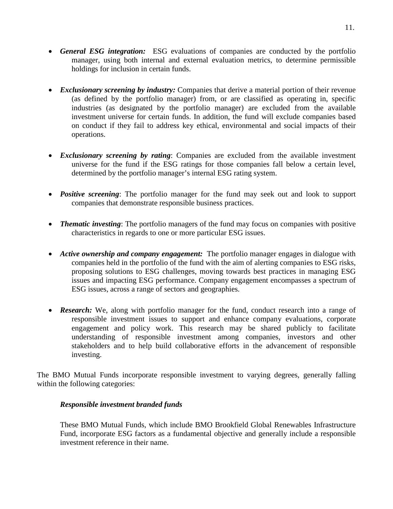- *General ESG integration:* ESG evaluations of companies are conducted by the portfolio manager, using both internal and external evaluation metrics, to determine permissible holdings for inclusion in certain funds.
- *Exclusionary screening by industry:* Companies that derive a material portion of their revenue (as defined by the portfolio manager) from, or are classified as operating in, specific industries (as designated by the portfolio manager) are excluded from the available investment universe for certain funds. In addition, the fund will exclude companies based on conduct if they fail to address key ethical, environmental and social impacts of their operations.
- *Exclusionary screening by rating*: Companies are excluded from the available investment universe for the fund if the ESG ratings for those companies fall below a certain level, determined by the portfolio manager's internal ESG rating system.
- *Positive screening*: The portfolio manager for the fund may seek out and look to support companies that demonstrate responsible business practices.
- *Thematic investing*: The portfolio managers of the fund may focus on companies with positive characteristics in regards to one or more particular ESG issues.
- *Active ownership and company engagement:* The portfolio manager engages in dialogue with companies held in the portfolio of the fund with the aim of alerting companies to ESG risks, proposing solutions to ESG challenges, moving towards best practices in managing ESG issues and impacting ESG performance. Company engagement encompasses a spectrum of ESG issues, across a range of sectors and geographies.
- **Research:** We, along with portfolio manager for the fund, conduct research into a range of responsible investment issues to support and enhance company evaluations, corporate engagement and policy work. This research may be shared publicly to facilitate understanding of responsible investment among companies, investors and other stakeholders and to help build collaborative efforts in the advancement of responsible investing.

 The BMO Mutual Funds incorporate responsible investment to varying degrees, generally falling within the following categories:

#### *Responsible investment branded funds*

 These BMO Mutual Funds, which include BMO Brookfield Global Renewables Infrastructure Fund, incorporate ESG factors as a fundamental objective and generally include a responsible investment reference in their name.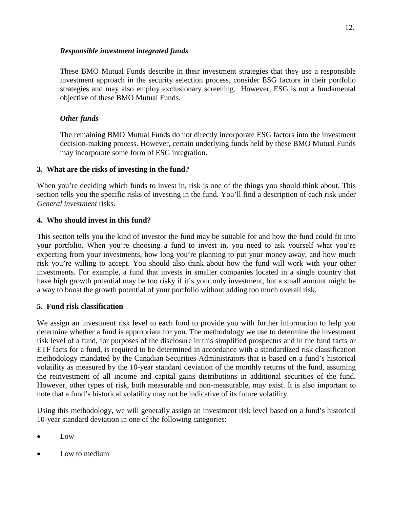#### *Responsible investment integrated funds*

 These BMO Mutual Funds describe in their investment strategies that they use a responsible investment approach in the security selection process, consider ESG factors in their portfolio strategies and may also employ exclusionary screening. However, ESG is not a fundamental objective of these BMO Mutual Funds.

## *Other funds*

 The remaining BMO Mutual Funds do not directly incorporate ESG factors into the investment decision-making process. However, certain underlying funds held by these BMO Mutual Funds may incorporate some form of ESG integration.

# **3. What are the risks of investing in the fund?**

 When you're deciding which funds to invest in, risk is one of the things you should think about. This section tells you the specific risks of investing in the fund. You'll find a description of each risk under *General investment* risks.

# **4. Who should invest in this fund?**

 This section tells you the kind of investor the fund may be suitable for and how the fund could fit into your portfolio. When you're choosing a fund to invest in, you need to ask yourself what you're expecting from your investments, how long you're planning to put your money away, and how much risk you're willing to accept. You should also think about how the fund will work with your other investments. For example, a fund that invests in smaller companies located in a single country that have high growth potential may be too risky if it's your only investment, but a small amount might be a way to boost the growth potential of your portfolio without adding too much overall risk.

## **5. Fund risk classification**

 We assign an investment risk level to each fund to provide you with further information to help you determine whether a fund is appropriate for you. The methodology we use to determine the investment risk level of a fund, for purposes of the disclosure in this simplified prospectus and in the fund facts or ETF facts for a fund, is required to be determined in accordance with a standardized risk classification methodology mandated by the Canadian Securities Administrators that is based on a fund's historical volatility as measured by the 10-year standard deviation of the monthly returns of the fund, assuming the reinvestment of all income and capital gains distributions in additional securities of the fund. However, other types of risk, both measurable and non-measurable, may exist. It is also important to note that a fund's historical volatility may not be indicative of its future volatility.

 Using this methodology, we will generally assign an investment risk level based on a fund's historical 10-year standard deviation in one of the following categories:

- Low
- Low to medium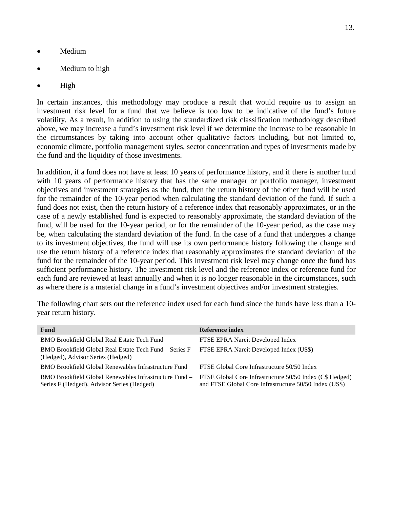- Medium
- Medium to high
- High

 In certain instances, this methodology may produce a result that would require us to assign an investment risk level for a fund that we believe is too low to be indicative of the fund's future volatility. As a result, in addition to using the standardized risk classification methodology described above, we may increase a fund's investment risk level if we determine the increase to be reasonable in the circumstances by taking into account other qualitative factors including, but not limited to, economic climate, portfolio management styles, sector concentration and types of investments made by the fund and the liquidity of those investments.

 with 10 years of performance history that has the same manager or portfolio manager, investment objectives and investment strategies as the fund, then the return history of the other fund will be used for the remainder of the 10-year period when calculating the standard deviation of the fund. If such a fund does not exist, then the return history of a reference index that reasonably approximates, or in the case of a newly established fund is expected to reasonably approximate, the standard deviation of the fund, will be used for the 10-year period, or for the remainder of the 10-year period, as the case may be, when calculating the standard deviation of the fund. In the case of a fund that undergoes a change to its investment objectives, the fund will use its own performance history following the change and use the return history of a reference index that reasonably approximates the standard deviation of the fund for the remainder of the 10-year period. This investment risk level may change once the fund has sufficient performance history. The investment risk level and the reference index or reference fund for each fund are reviewed at least annually and when it is no longer reasonable in the circumstances, such In addition, if a fund does not have at least 10 years of performance history, and if there is another fund as where there is a material change in a fund's investment objectives and/or investment strategies.

 The following chart sets out the reference index used for each fund since the funds have less than a 10 year return history.

| <b>Fund</b>                                                                                          | Reference index                                                                                                    |
|------------------------------------------------------------------------------------------------------|--------------------------------------------------------------------------------------------------------------------|
| <b>BMO Brookfield Global Real Estate Tech Fund</b>                                                   | FTSE EPRA Nareit Developed Index                                                                                   |
| BMO Brookfield Global Real Estate Tech Fund – Series F<br>(Hedged), Advisor Series (Hedged)          | FTSE EPRA Nareit Developed Index (US\$)                                                                            |
| BMO Brookfield Global Renewables Infrastructure Fund                                                 | FTSE Global Core Infrastructure 50/50 Index                                                                        |
| BMO Brookfield Global Renewables Infrastructure Fund –<br>Series F (Hedged), Advisor Series (Hedged) | FTSE Global Core Infrastructure 50/50 Index (C\$ Hedged)<br>and FTSE Global Core Infrastructure 50/50 Index (US\$) |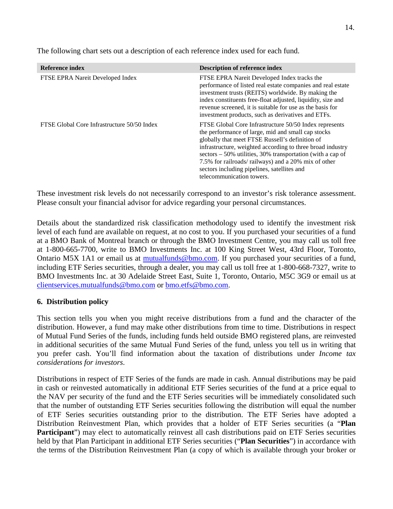| Reference index                             | <b>Description of reference index</b>                                                                                                                                                                                                                                                                                                                                                                                                     |
|---------------------------------------------|-------------------------------------------------------------------------------------------------------------------------------------------------------------------------------------------------------------------------------------------------------------------------------------------------------------------------------------------------------------------------------------------------------------------------------------------|
| FTSE EPRA Nareit Developed Index            | FTSE EPRA Nareit Developed Index tracks the<br>performance of listed real estate companies and real estate<br>investment trusts (REITS) worldwide. By making the<br>index constituents free-float adjusted, liquidity, size and<br>revenue screened, it is suitable for use as the basis for<br>investment products, such as derivatives and ETFs.                                                                                        |
| FTSE Global Core Infrastructure 50/50 Index | FTSE Global Core Infrastructure 50/50 Index represents<br>the performance of large, mid and small cap stocks<br>globally that meet FTSE Russell's definition of<br>infrastructure, weighted according to three broad industry<br>$\text{sectors} - 50\%$ utilities, 30% transportation (with a cap of<br>7.5% for railroads/ railways) and a 20% mix of other<br>sectors including pipelines, satellites and<br>telecommunication towers. |

The following chart sets out a description of each reference index used for each fund.

 These investment risk levels do not necessarily correspond to an investor's risk tolerance assessment. Please consult your financial advisor for advice regarding your personal circumstances.

 Details about the standardized risk classification methodology used to identify the investment risk level of each fund are available on request, at no cost to you. If you purchased your securities of a fund at a BMO Bank of Montreal branch or through the BMO Investment Centre, you may call us toll free at 1-800-665-7700, write to BMO Investments Inc. at 100 King Street West, 43rd Floor, Toronto, Ontario M5X 1A1 or email us at mutualfunds@bmo.com. If you purchased your securities of a fund, including ETF Series securities, through a dealer, you may call us toll free at 1-800-668-7327, write to BMO Investments Inc. at 30 Adelaide Street East, Suite 1, Toronto, Ontario, M5C 3G9 or email us at clientservices.mutualfunds@bmo.com or bmo.etfs@bmo.com.

#### **6. Distribution policy**

 This section tells you when you might receive distributions from a fund and the character of the distribution. However, a fund may make other distributions from time to time. Distributions in respect of Mutual Fund Series of the funds, including funds held outside BMO registered plans, are reinvested in additional securities of the same Mutual Fund Series of the fund, unless you tell us in writing that you prefer cash. You'll find information about the taxation of distributions under *Income tax considerations for investors*.

 Distributions in respect of ETF Series of the funds are made in cash. Annual distributions may be paid in cash or reinvested automatically in additional ETF Series securities of the fund at a price equal to the NAV per security of the fund and the ETF Series securities will be immediately consolidated such that the number of outstanding ETF Series securities following the distribution will equal the number of ETF Series securities outstanding prior to the distribution. The ETF Series have adopted a Distribution Reinvestment Plan, which provides that a holder of ETF Series securities (a "**Plan**  Participant") may elect to automatically reinvest all cash distributions paid on ETF Series securities held by that Plan Participant in additional ETF Series securities ("**Plan Securities**") in accordance with the terms of the Distribution Reinvestment Plan (a copy of which is available through your broker or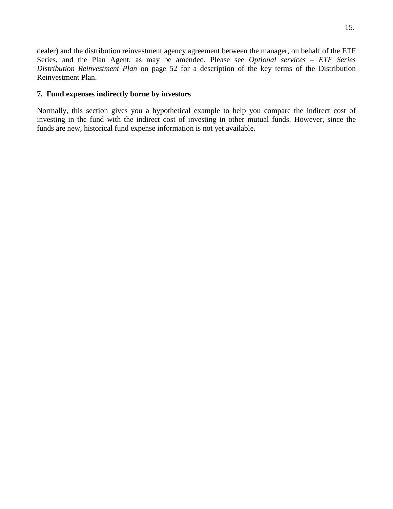dealer) and the distribution reinvestment agency agreement between the manager, on behalf of the ETF Series, and the Plan Agent, as may be amended. Please see *Optional services – ETF Series Distribution Reinvestment Plan* on page 52 for a description of the key terms of the Distribution Reinvestment Plan.

#### **7. Fund expenses indirectly borne by investors**

 Normally, this section gives you a hypothetical example to help you compare the indirect cost of investing in the fund with the indirect cost of investing in other mutual funds. However, since the funds are new, historical fund expense information is not yet available.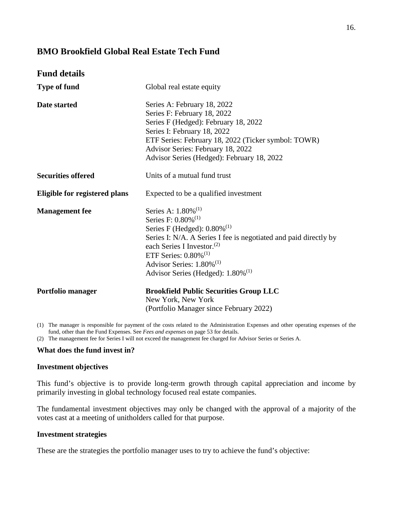## <span id="page-16-0"></span>**BMO Brookfield Global Real Estate Tech Fund**

| <b>Fund details</b>                  |                                                                                                                                                                                                                                                                                                                                                                          |
|--------------------------------------|--------------------------------------------------------------------------------------------------------------------------------------------------------------------------------------------------------------------------------------------------------------------------------------------------------------------------------------------------------------------------|
| <b>Type of fund</b>                  | Global real estate equity                                                                                                                                                                                                                                                                                                                                                |
| Date started                         | Series A: February 18, 2022<br>Series F: February 18, 2022<br>Series F (Hedged): February 18, 2022<br>Series I: February 18, 2022<br>ETF Series: February 18, 2022 (Ticker symbol: TOWR)<br>Advisor Series: February 18, 2022<br>Advisor Series (Hedged): February 18, 2022                                                                                              |
| <b>Securities offered</b>            | Units of a mutual fund trust                                                                                                                                                                                                                                                                                                                                             |
| <b>Eligible for registered plans</b> | Expected to be a qualified investment                                                                                                                                                                                                                                                                                                                                    |
| <b>Management</b> fee                | Series A: $1.80\%$ <sup>(1)</sup><br>Series F: $0.80\%$ <sup>(1)</sup><br>Series F (Hedged): $0.80\%$ <sup>(1)</sup><br>Series I: N/A. A Series I fee is negotiated and paid directly by<br>each Series I Investor. <sup>(2)</sup><br>ETF Series: $0.80\%$ <sup>(1)</sup><br>Advisor Series: $1.80\%$ <sup>(1)</sup><br>Advisor Series (Hedged): $1.80\%$ <sup>(1)</sup> |
| Portfolio manager                    | <b>Brookfield Public Securities Group LLC</b><br>New York, New York<br>(Portfolio Manager since February 2022)                                                                                                                                                                                                                                                           |

 (1) The manager is responsible for payment of the costs related to the Administration Expenses and other operating expenses of the fund, other than the Fund Expenses. See *Fees and expenses* on page 53 for details.

(2) The management fee for Series I will not exceed the management fee charged for Advisor Series or Series A.

#### **What does the fund invest in?**

#### **Investment objectives**

 This fund's objective is to provide long-term growth through capital appreciation and income by primarily investing in global technology focused real estate companies.

 The fundamental investment objectives may only be changed with the approval of a majority of the votes cast at a meeting of unitholders called for that purpose.

#### **Investment strategies**

These are the strategies the portfolio manager uses to try to achieve the fund's objective: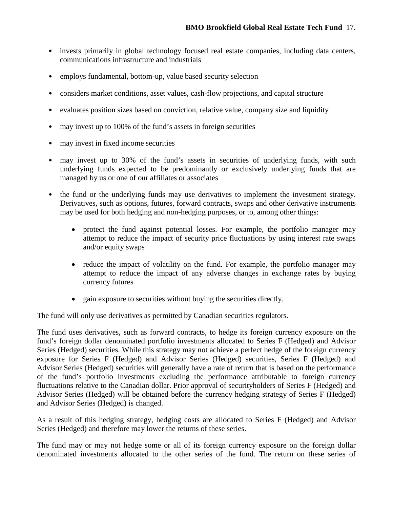- • invests primarily in global technology focused real estate companies, including data centers, communications infrastructure and industrials
- employs fundamental, bottom-up, value based security selection
- •considers market conditions, asset values, cash-flow projections, and capital structure
- evaluates position sizes based on conviction, relative value, company size and liquidity
- $\bullet$ may invest up to 100% of the fund's assets in foreign securities
- may invest in fixed income securities
- may invest up to 30% of the fund's assets in securities of underlying funds, with such underlying funds expected to be predominantly or exclusively underlying funds that are managed by us or one of our affiliates or associates
- the fund or the underlying funds may use derivatives to implement the investment strategy. Derivatives, such as options, futures, forward contracts, swaps and other derivative instruments may be used for both hedging and non-hedging purposes, or to, among other things:
	- $\bullet$ protect the fund against potential losses. For example, the portfolio manager may attempt to reduce the impact of security price fluctuations by using interest rate swaps and/or equity swaps
	- reduce the impact of volatility on the fund. For example, the portfolio manager may attempt to reduce the impact of any adverse changes in exchange rates by buying currency futures
	- gain exposure to securities without buying the securities directly.

The fund will only use derivatives as permitted by Canadian securities regulators.

The fund will only use derivatives as permitted by Canadian securities regulators.<br>The fund uses derivatives, such as forward contracts, to hedge its foreign currency exposure on the fund's foreign dollar denominated portfolio investments allocated to Series F (Hedged) and Advisor Series (Hedged) securities. While this strategy may not achieve a perfect hedge of the foreign currency exposure for Series F (Hedged) and Advisor Series (Hedged) securities, Series F (Hedged) and Advisor Series (Hedged) securities will generally have a rate of return that is based on the performance of the fund's portfolio investments excluding the performance attributable to foreign currency fluctuations relative to the Canadian dollar. Prior approval of securityholders of Series F (Hedged) and Advisor Series (Hedged) will be obtained before the currency hedging strategy of Series F (Hedged) and Advisor Series (Hedged) is changed.

 As a result of this hedging strategy, hedging costs are allocated to Series F (Hedged) and Advisor Series (Hedged) and therefore may lower the returns of these series.

 The fund may or may not hedge some or all of its foreign currency exposure on the foreign dollar denominated investments allocated to the other series of the fund. The return on these series of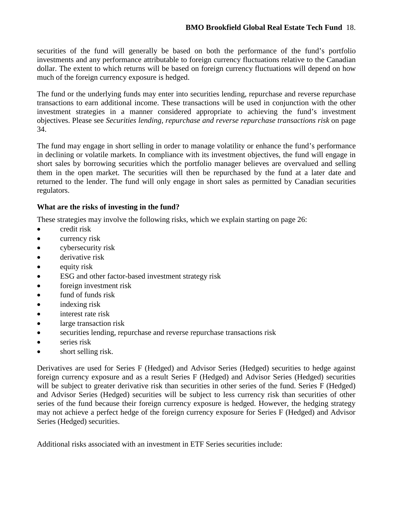securities of the fund will generally be based on both the performance of the fund's portfolio investments and any performance attributable to foreign currency fluctuations relative to the Canadian dollar. The extent to which returns will be based on foreign currency fluctuations will depend on how much of the foreign currency exposure is hedged.

 The fund or the underlying funds may enter into securities lending, repurchase and reverse repurchase transactions to earn additional income. These transactions will be used in conjunction with the other investment strategies in a manner considered appropriate to achieving the fund's investment objectives. Please see *Securities lending, repurchase and reverse repurchase transactions risk* on page 34.

 The fund may engage in short selling in order to manage volatility or enhance the fund's performance in declining or volatile markets. In compliance with its investment objectives, the fund will engage in short sales by borrowing securities which the portfolio manager believes are overvalued and selling them in the open market. The securities will then be repurchased by the fund at a later date and returned to the lender. The fund will only engage in short sales as permitted by Canadian securities regulators.

## **What are the risks of investing in the fund?**

These strategies may involve the following risks, which we explain starting on page 26:

- credit risk
- currency risk
- cybersecurity risk
- derivative risk
- $\bullet$  equity risk
- ESG and other factor-based investment strategy risk
- foreign investment risk
- fund of funds risk
- indexing risk
- interest rate risk
- large transaction risk
- securities lending, repurchase and reverse repurchase transactions risk
- series risk
- short selling risk.

 Derivatives are used for Series F (Hedged) and Advisor Series (Hedged) securities to hedge against foreign currency exposure and as a result Series F (Hedged) and Advisor Series (Hedged) securities will be subject to greater derivative risk than securities in other series of the fund. Series F (Hedged) and Advisor Series (Hedged) securities will be subject to less currency risk than securities of other series of the fund because their foreign currency exposure is hedged. However, the hedging strategy may not achieve a perfect hedge of the foreign currency exposure for Series F (Hedged) and Advisor Series (Hedged) securities.

Additional risks associated with an investment in ETF Series securities include: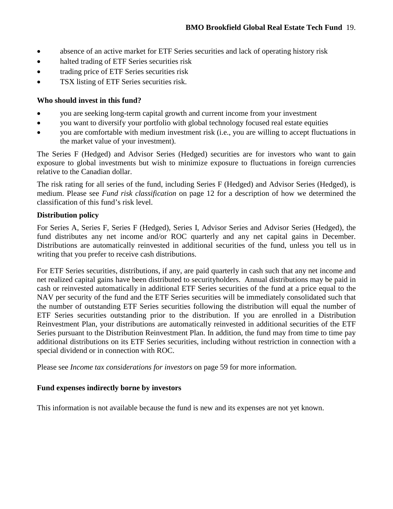- absence of an active market for ETF Series securities and lack of operating history risk
- halted trading of ETF Series securities risk
- trading price of ETF Series securities risk
- TSX listing of ETF Series securities risk.

# **Who should invest in this fund?**

- you are seeking long-term capital growth and current income from your investment
- you want to diversify your portfolio with global technology focused real estate equities
- you are comfortable with medium investment risk (i.e., you are willing to accept fluctuations in the market value of your investment).

 The Series F (Hedged) and Advisor Series (Hedged) securities are for investors who want to gain exposure to global investments but wish to minimize exposure to fluctuations in foreign currencies relative to the Canadian dollar.

 The risk rating for all series of the fund, including Series F (Hedged) and Advisor Series (Hedged), is medium. Please see *Fund risk classification* on page 12 for a description of how we determined the classification of this fund's risk level.

# **Distribution policy**

 fund distributes any net income and/or ROC quarterly and any net capital gains in December. Distributions are automatically reinvested in additional securities of the fund, unless you tell us in writing that you prefer to receive cash distributions. For Series A, Series F, Series F (Hedged), Series I, Advisor Series and Advisor Series (Hedged), the

writing that you prefer to receive cash distributions.<br>For ETF Series securities, distributions, if any, are paid quarterly in cash such that any net income and net realized capital gains have been distributed to securityholders. Annual distributions may be paid in cash or reinvested automatically in additional ETF Series securities of the fund at a price equal to the NAV per security of the fund and the ETF Series securities will be immediately consolidated such that the number of outstanding ETF Series securities following the distribution will equal the number of ETF Series securities outstanding prior to the distribution. If you are enrolled in a Distribution Reinvestment Plan, your distributions are automatically reinvested in additional securities of the ETF Series pursuant to the Distribution Reinvestment Plan. In addition, the fund may from time to time pay additional distributions on its ETF Series securities, including without restriction in connection with a special dividend or in connection with ROC.

Please see *Income tax considerations for investors* on page 59 for more information.

# **Fund expenses indirectly borne by investors**

This information is not available because the fund is new and its expenses are not yet known.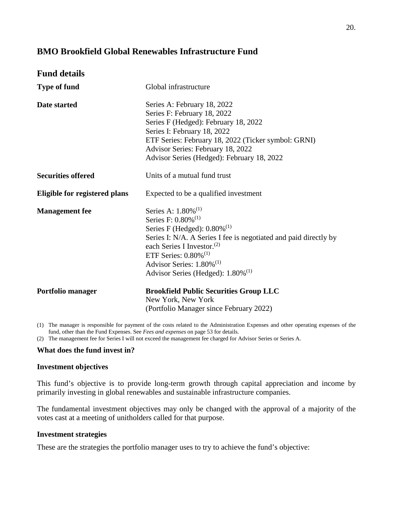# <span id="page-20-0"></span>**BMO Brookfield Global Renewables Infrastructure Fund**

| <b>Fund details</b>                  |                                                                                                                                                                                                                                                                                                                                                                 |
|--------------------------------------|-----------------------------------------------------------------------------------------------------------------------------------------------------------------------------------------------------------------------------------------------------------------------------------------------------------------------------------------------------------------|
| <b>Type of fund</b>                  | Global infrastructure                                                                                                                                                                                                                                                                                                                                           |
| Date started                         | Series A: February 18, 2022<br>Series F: February 18, 2022<br>Series F (Hedged): February 18, 2022<br>Series I: February 18, 2022<br>ETF Series: February 18, 2022 (Ticker symbol: GRNI)<br>Advisor Series: February 18, 2022<br>Advisor Series (Hedged): February 18, 2022                                                                                     |
| <b>Securities offered</b>            | Units of a mutual fund trust                                                                                                                                                                                                                                                                                                                                    |
| <b>Eligible for registered plans</b> | Expected to be a qualified investment                                                                                                                                                                                                                                                                                                                           |
| <b>Management</b> fee                | Series A: $1.80\%^{(1)}$<br>Series F: $0.80\%$ <sup>(1)</sup><br>Series F (Hedged): $0.80\%$ <sup>(1)</sup><br>Series I: N/A. A Series I fee is negotiated and paid directly by<br>each Series I Investor. <sup>(2)</sup><br>ETF Series: $0.80\%$ <sup>(1)</sup><br>Advisor Series: $1.80\%$ <sup>(1)</sup><br>Advisor Series (Hedged): $1.80\%$ <sup>(1)</sup> |
| Portfolio manager                    | <b>Brookfield Public Securities Group LLC</b><br>New York, New York<br>(Portfolio Manager since February 2022)                                                                                                                                                                                                                                                  |

 (1) The manager is responsible for payment of the costs related to the Administration Expenses and other operating expenses of the fund, other than the Fund Expenses. See *Fees and expenses* on page 53 for details.

(2) The management fee for Series I will not exceed the management fee charged for Advisor Series or Series A.

#### **What does the fund invest in?**

#### **Investment objectives**

 This fund's objective is to provide long-term growth through capital appreciation and income by primarily investing in global renewables and sustainable infrastructure companies.

 The fundamental investment objectives may only be changed with the approval of a majority of the votes cast at a meeting of unitholders called for that purpose.

#### **Investment strategies**

These are the strategies the portfolio manager uses to try to achieve the fund's objective: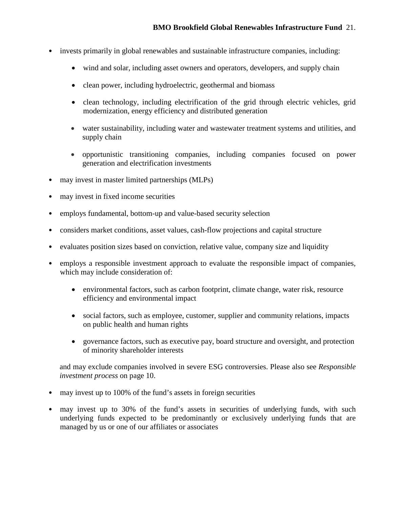- invests primarily in global renewables and sustainable infrastructure companies, including:
	- wind and solar, including asset owners and operators, developers, and supply chain
	- clean power, including hydroelectric, geothermal and biomass
	- clean technology, including electrification of the grid through electric vehicles, grid modernization, energy efficiency and distributed generation
	- water sustainability, including water and wastewater treatment systems and utilities, and supply chain
	- opportunistic transitioning companies, including companies focused on power generation and electrification investments
- may invest in master limited partnerships (MLPs)
- may invest in fixed income securities
- employs fundamental, bottom-up and value-based security selection
- •considers market conditions, asset values, cash-flow projections and capital structure
- evaluates position sizes based on conviction, relative value, company size and liquidity  $\bullet$
- employs a responsible investment approach to evaluate the responsible impact of companies, which may include consideration of:  $\bullet$ 
	- efficiency and environmental impact environmental factors, such as carbon footprint, climate change, water risk, resource
	- social factors, such as employee, customer, supplier and community relations, impacts on public health and human rights
	- $\bullet$ governance factors, such as executive pay, board structure and oversight, and protection of minority shareholder interests

and may exclude companies involved in severe ESG controversies. Please also see *Responsible investment process* on page 10.

- may invest up to 100% of the fund's assets in foreign securities
- may invest up to 30% of the fund's assets in securities of underlying funds, with such underlying funds expected to be predominantly or exclusively underlying funds that are managed by us or one of our affiliates or associates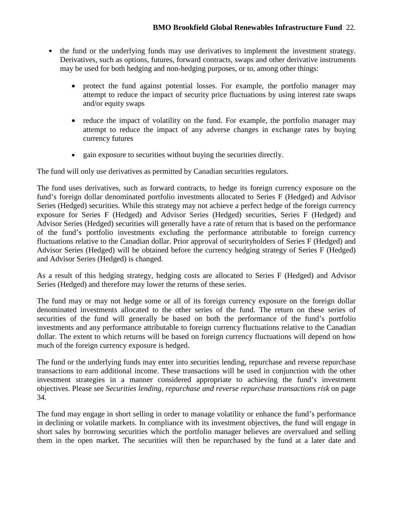- the fund or the underlying funds may use derivatives to implement the investment strategy. Derivatives, such as options, futures, forward contracts, swaps and other derivative instruments may be used for both hedging and non-hedging purposes, or to, among other things:
	- protect the fund against potential losses. For example, the portfolio manager may attempt to reduce the impact of security price fluctuations by using interest rate swaps and/or equity swaps
	- reduce the impact of volatility on the fund. For example, the portfolio manager may attempt to reduce the impact of any adverse changes in exchange rates by buying currency futures
	- gain exposure to securities without buying the securities directly.

The fund will only use derivatives as permitted by Canadian securities regulators.

The fund will only use derivatives as permitted by Canadian securities regulators.<br>The fund uses derivatives, such as forward contracts, to hedge its foreign currency exposure on the fund's foreign dollar denominated portfolio investments allocated to Series F (Hedged) and Advisor Series (Hedged) securities. While this strategy may not achieve a perfect hedge of the foreign currency exposure for Series F (Hedged) and Advisor Series (Hedged) securities, Series F (Hedged) and Advisor Series (Hedged) securities will generally have a rate of return that is based on the performance of the fund's portfolio investments excluding the performance attributable to foreign currency fluctuations relative to the Canadian dollar. Prior approval of securityholders of Series F (Hedged) and Advisor Series (Hedged) will be obtained before the currency hedging strategy of Series F (Hedged) and Advisor Series (Hedged) is changed.

 As a result of this hedging strategy, hedging costs are allocated to Series F (Hedged) and Advisor Series (Hedged) and therefore may lower the returns of these series.

 The fund may or may not hedge some or all of its foreign currency exposure on the foreign dollar denominated investments allocated to the other series of the fund. The return on these series of securities of the fund will generally be based on both the performance of the fund's portfolio investments and any performance attributable to foreign currency fluctuations relative to the Canadian dollar. The extent to which returns will be based on foreign currency fluctuations will depend on how much of the foreign currency exposure is hedged.

The fund or the underlying funds may enter into securities lending, repurchase and reverse repurchase transactions to earn additional income. These transactions will be used in conjunction with the other investment strategies in a manner considered appropriate to achieving the fund's investment objectives. Please see *Securities lending, repurchase and reverse repurchase transactions risk* on page 34.

 The fund may engage in short selling in order to manage volatility or enhance the fund's performance in declining or volatile markets. In compliance with its investment objectives, the fund will engage in short sales by borrowing securities which the portfolio manager believes are overvalued and selling them in the open market. The securities will then be repurchased by the fund at a later date and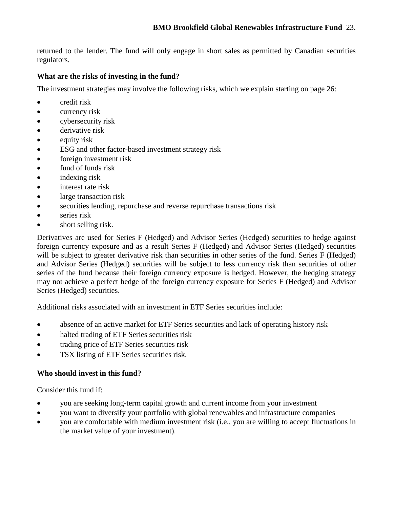returned to the lender. The fund will only engage in short sales as permitted by Canadian securities regulators.

# **What are the risks of investing in the fund?**

The investment strategies may involve the following risks, which we explain starting on page 26:

- credit risk
- currency risk
- cybersecurity risk
- derivative risk
- $\bullet$  equity risk
- ESG and other factor-based investment strategy risk
- foreign investment risk
- fund of funds risk
- indexing risk
- interest rate risk
- large transaction risk
- securities lending, repurchase and reverse repurchase transactions risk
- series risk
- short selling risk.

 Derivatives are used for Series F (Hedged) and Advisor Series (Hedged) securities to hedge against foreign currency exposure and as a result Series F (Hedged) and Advisor Series (Hedged) securities will be subject to greater derivative risk than securities in other series of the fund. Series F (Hedged) and Advisor Series (Hedged) securities will be subject to less currency risk than securities of other series of the fund because their foreign currency exposure is hedged. However, the hedging strategy may not achieve a perfect hedge of the foreign currency exposure for Series F (Hedged) and Advisor Series (Hedged) securities.

Additional risks associated with an investment in ETF Series securities include:

- absence of an active market for ETF Series securities and lack of operating history risk
- halted trading of ETF Series securities risk
- trading price of ETF Series securities risk
- TSX listing of ETF Series securities risk.

## **Who should invest in this fund?**

Consider this fund if:

- you are seeking long-term capital growth and current income from your investment
- you want to diversify your portfolio with global renewables and infrastructure companies
- you are comfortable with medium investment risk (i.e., you are willing to accept fluctuations in the market value of your investment).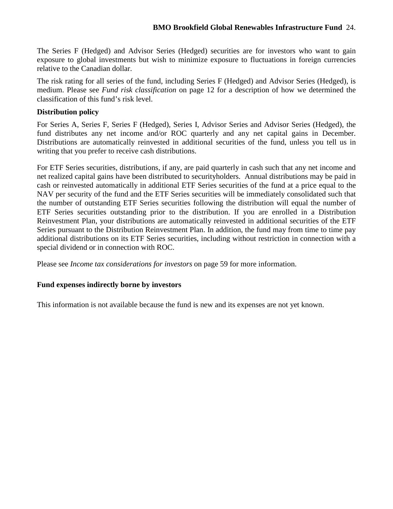The Series F (Hedged) and Advisor Series (Hedged) securities are for investors who want to gain exposure to global investments but wish to minimize exposure to fluctuations in foreign currencies relative to the Canadian dollar.

 The risk rating for all series of the fund, including Series F (Hedged) and Advisor Series (Hedged), is medium. Please see *Fund risk classification* on page 12 for a description of how we determined the classification of this fund's risk level.

#### **Distribution policy**

 fund distributes any net income and/or ROC quarterly and any net capital gains in December. Distributions are automatically reinvested in additional securities of the fund, unless you tell us in writing that you prefer to receive cash distributions. For Series A, Series F, Series F (Hedged), Series I, Advisor Series and Advisor Series (Hedged), the

writing that you prefer to receive cash distributions.<br>For ETF Series securities, distributions, if any, are paid quarterly in cash such that any net income and net realized capital gains have been distributed to securityholders. Annual distributions may be paid in cash or reinvested automatically in additional ETF Series securities of the fund at a price equal to the NAV per security of the fund and the ETF Series securities will be immediately consolidated such that the number of outstanding ETF Series securities following the distribution will equal the number of ETF Series securities outstanding prior to the distribution. If you are enrolled in a Distribution Reinvestment Plan, your distributions are automatically reinvested in additional securities of the ETF Series pursuant to the Distribution Reinvestment Plan. In addition, the fund may from time to time pay additional distributions on its ETF Series securities, including without restriction in connection with a special dividend or in connection with ROC.

Please see *Income tax considerations for investors* on page 59 for more information.

#### **Fund expenses indirectly borne by investors**

This information is not available because the fund is new and its expenses are not yet known.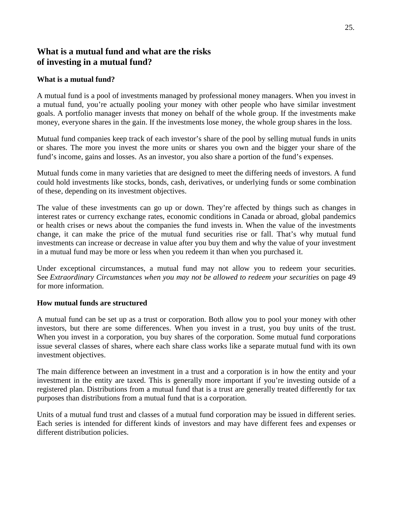# <span id="page-25-0"></span> **What is a mutual fund and what are the risks of investing in a mutual fund?**

#### **What is a mutual fund?**

 A mutual fund is a pool of investments managed by professional money managers. When you invest in a mutual fund, you're actually pooling your money with other people who have similar investment goals. A portfolio manager invests that money on behalf of the whole group. If the investments make money, everyone shares in the gain. If the investments lose money, the whole group shares in the loss.

 Mutual fund companies keep track of each investor's share of the pool by selling mutual funds in units or shares. The more you invest the more units or shares you own and the bigger your share of the fund's income, gains and losses. As an investor, you also share a portion of the fund's expenses.

 Mutual funds come in many varieties that are designed to meet the differing needs of investors. A fund could hold investments like stocks, bonds, cash, derivatives, or underlying funds or some combination of these, depending on its investment objectives.

 The value of these investments can go up or down. They're affected by things such as changes in interest rates or currency exchange rates, economic conditions in Canada or abroad, global pandemics or health crises or news about the companies the fund invests in. When the value of the investments change, it can make the price of the mutual fund securities rise or fall. That's why mutual fund investments can increase or decrease in value after you buy them and why the value of your investment in a mutual fund may be more or less when you redeem it than when you purchased it.

 Under exceptional circumstances, a mutual fund may not allow you to redeem your securities. See *Extraordinary Circumstances when you may not be allowed to redeem your securities on page 49* for more information.

#### **How mutual funds are structured**

 A mutual fund can be set up as a trust or corporation. Both allow you to pool your money with other investors, but there are some differences. When you invest in a trust, you buy units of the trust. When you invest in a corporation, you buy shares of the corporation. Some mutual fund corporations issue several classes of shares, where each share class works like a separate mutual fund with its own investment objectives.

 The main difference between an investment in a trust and a corporation is in how the entity and your investment in the entity are taxed. This is generally more important if you're investing outside of a registered plan. Distributions from a mutual fund that is a trust are generally treated differently for tax purposes than distributions from a mutual fund that is a corporation.

 Units of a mutual fund trust and classes of a mutual fund corporation may be issued in different series. Each series is intended for different kinds of investors and may have different fees and expenses or different distribution policies.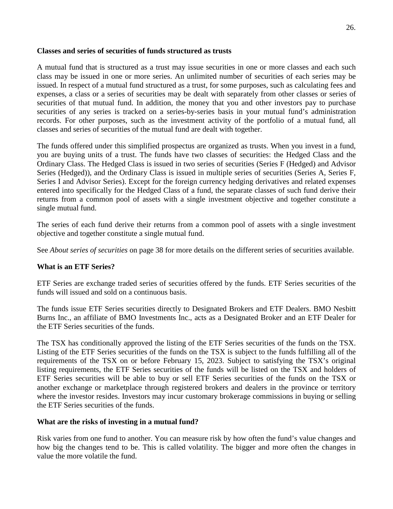#### **Classes and series of securities of funds structured as trusts**

 A mutual fund that is structured as a trust may issue securities in one or more classes and each such class may be issued in one or more series. An unlimited number of securities of each series may be issued. In respect of a mutual fund structured as a trust, for some purposes, such as calculating fees and expenses, a class or a series of securities may be dealt with separately from other classes or series of securities of that mutual fund. In addition, the money that you and other investors pay to purchase securities of any series is tracked on a series-by-series basis in your mutual fund's administration records. For other purposes, such as the investment activity of the portfolio of a mutual fund, all classes and series of securities of the mutual fund are dealt with together.

 The funds offered under this simplified prospectus are organized as trusts. When you invest in a fund, you are buying units of a trust. The funds have two classes of securities: the Hedged Class and the Ordinary Class. The Hedged Class is issued in two series of securities (Series F (Hedged) and Advisor Series (Hedged)), and the Ordinary Class is issued in multiple series of securities (Series A, Series F, Series I and Advisor Series). Except for the foreign currency hedging derivatives and related expenses entered into specifically for the Hedged Class of a fund, the separate classes of such fund derive their returns from a common pool of assets with a single investment objective and together constitute a single mutual fund.

 The series of each fund derive their returns from a common pool of assets with a single investment objective and together constitute a single mutual fund.

See *About series of securities* on page 38 for more details on the different series of securities available.

## **What is an ETF Series?**

 ETF Series are exchange traded series of securities offered by the funds. ETF Series securities of the funds will issued and sold on a continuous basis.

 The funds issue ETF Series securities directly to Designated Brokers and ETF Dealers. BMO Nesbitt Burns Inc., an affiliate of BMO Investments Inc., acts as a Designated Broker and an ETF Dealer for the ETF Series securities of the funds.

the ETF Series securities of the funds.<br>The TSX has conditionally approved the listing of the ETF Series securities of the funds on the TSX. Listing of the ETF Series securities of the funds on the TSX is subject to the funds fulfilling all of the requirements of the TSX on or before February 15, 2023. Subject to satisfying the TSX's original listing requirements, the ETF Series securities of the funds will be listed on the TSX and holders of ETF Series securities will be able to buy or sell ETF Series securities of the funds on the TSX or another exchange or marketplace through registered brokers and dealers in the province or territory where the investor resides. Investors may incur customary brokerage commissions in buying or selling the ETF Series securities of the funds.

#### **What are the risks of investing in a mutual fund?**

 Risk varies from one fund to another. You can measure risk by how often the fund's value changes and how big the changes tend to be. This is called volatility. The bigger and more often the changes in value the more volatile the fund.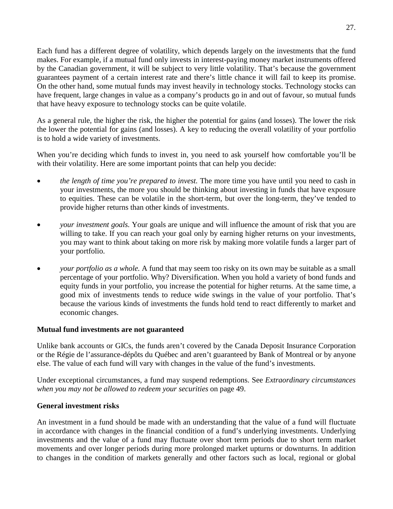Each fund has a different degree of volatility, which depends largely on the investments that the fund by the Canadian government, it will be subject to very little volatility. That's because the government guarantees payment of a certain interest rate and there's little chance it will fail to keep its promise. On the other hand, some mutual funds may invest heavily in technology stocks. Technology stocks can makes. For example, if a mutual fund only invests in interest-paying money market instruments offered have frequent, large changes in value as a company's products go in and out of favour, so mutual funds that have heavy exposure to technology stocks can be quite volatile.

 As a general rule, the higher the risk, the higher the potential for gains (and losses). The lower the risk the lower the potential for gains (and losses). A key to reducing the overall volatility of your portfolio is to hold a wide variety of investments.

 When you're deciding which funds to invest in, you need to ask yourself how comfortable you'll be with their volatility. Here are some important points that can help you decide:

- *the length of time you're prepared to invest*. The more time you have until you need to cash in your investments, the more you should be thinking about investing in funds that have exposure to equities. These can be volatile in the short-term, but over the long-term, they've tended to provide higher returns than other kinds of investments.
- *your investment goals.* Your goals are unique and will influence the amount of risk that you are willing to take. If you can reach your goal only by earning higher returns on your investments, you may want to think about taking on more risk by making more volatile funds a larger part of your portfolio.
- *your portfolio as a whole.* A fund that may seem too risky on its own may be suitable as a small percentage of your portfolio. Why? Diversification. When you hold a variety of bond funds and equity funds in your portfolio, you increase the potential for higher returns. At the same time, a good mix of investments tends to reduce wide swings in the value of your portfolio. That's because the various kinds of investments the funds hold tend to react differently to market and economic changes.

#### **Mutual fund investments are not guaranteed**

 Unlike bank accounts or GICs, the funds aren't covered by the Canada Deposit Insurance Corporation or the Régie de l'assurance-dépôts du Québec and aren't guaranteed by Bank of Montreal or by anyone else. The value of each fund will vary with changes in the value of the fund's investments.

 else. The value of each fund will vary with changes in the value of the fund's investments. Under exceptional circumstances, a fund may suspend redemptions. See *Extraordinary circumstances when you may not be allowed to redeem your securities* on page 49.

#### **General investment risks**

 An investment in a fund should be made with an understanding that the value of a fund will fluctuate in accordance with changes in the financial condition of a fund's underlying investments. Underlying investments and the value of a fund may fluctuate over short term periods due to short term market movements and over longer periods during more prolonged market upturns or downturns. In addition to changes in the condition of markets generally and other factors such as local, regional or global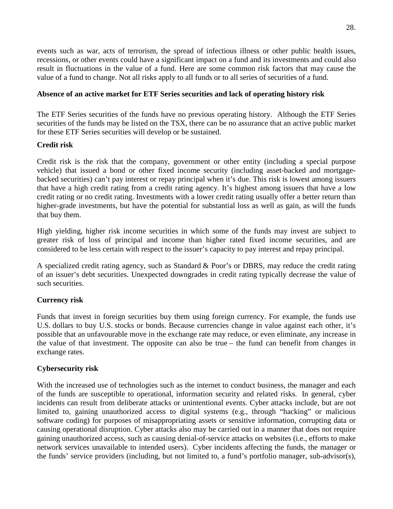events such as war, acts of terrorism, the spread of infectious illness or other public health issues, recessions, or other events could have a significant impact on a fund and its investments and could also result in fluctuations in the value of a fund. Here are some common risk factors that may cause the value of a fund to change. Not all risks apply to all funds or to all series of securities of a fund.

#### **Absence of an active market for ETF Series securities and lack of operating history risk**

 The ETF Series securities of the funds have no previous operating history. Although the ETF Series securities of the funds may be listed on the TSX, there can be no assurance that an active public market for these ETF Series securities will develop or be sustained.

#### **Credit risk**

 Credit risk is the risk that the company, government or other entity (including a special purpose vehicle) that issued a bond or other fixed income security (including asset-backed and mortgage- backed securities) can't pay interest or repay principal when it's due. This risk is lowest among issuers that have a high credit rating from a credit rating agency. It's highest among issuers that have a low credit rating or no credit rating. Investments with a lower credit rating usually offer a better return than higher-grade investments, but have the potential for substantial loss as well as gain, as will the funds that buy them.

 High yielding, higher risk income securities in which some of the funds may invest are subject to greater risk of loss of principal and income than higher rated fixed income securities, and are considered to be less certain with respect to the issuer's capacity to pay interest and repay principal.

 A specialized credit rating agency, such as Standard & Poor's or DBRS, may reduce the credit rating of an issuer's debt securities. Unexpected downgrades in credit rating typically decrease the value of such securities.

## **Currency risk**

Funds that invest in foreign securities buy them using foreign currency. For example, the funds use U.S. dollars to buy U.S. stocks or bonds. Because currencies change in value against each other, it's possible that an unfavourable move in the exchange rate may reduce, or even eliminate, any increase in the value of that investment. The opposite can also be true – the fund can benefit from changes in exchange rates.

## **Cybersecurity risk**

 With the increased use of technologies such as the internet to conduct business, the manager and each of the funds are susceptible to operational, information security and related risks. In general, cyber incidents can result from deliberate attacks or unintentional events. Cyber attacks include, but are not limited to, gaining unauthorized access to digital systems (e.g., through "hacking" or malicious software coding) for purposes of misappropriating assets or sensitive information, corrupting data or causing operational disruption. Cyber attacks also may be carried out in a manner that does not require network services unavailable to intended users). Cyber incidents affecting the funds, the manager or the funds' service providers (including, but not limited to, a fund's portfolio manager, sub-advisor(s), gaining unauthorized access, such as causing denial-of-service attacks on websites (i.e., efforts to make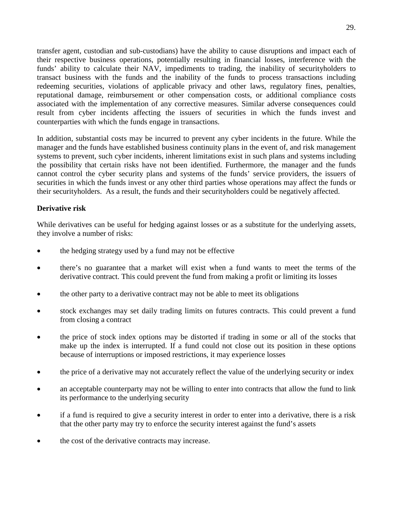transfer agent, custodian and sub-custodians) have the ability to cause disruptions and impact each of their respective business operations, potentially resulting in financial losses, interference with the funds' ability to calculate their NAV, impediments to trading, the inability of securityholders to transact business with the funds and the inability of the funds to process transactions including redeeming securities, violations of applicable privacy and other laws, regulatory fines, penalties, reputational damage, reimbursement or other compensation costs, or additional compliance costs associated with the implementation of any corrective measures. Similar adverse consequences could result from cyber incidents affecting the issuers of securities in which the funds invest and counterparties with which the funds engage in transactions.

 In addition, substantial costs may be incurred to prevent any cyber incidents in the future. While the manager and the funds have established business continuity plans in the event of, and risk management systems to prevent, such cyber incidents, inherent limitations exist in such plans and systems including the possibility that certain risks have not been identified. Furthermore, the manager and the funds cannot control the cyber security plans and systems of the funds' service providers, the issuers of securities in which the funds invest or any other third parties whose operations may affect the funds or their securityholders. As a result, the funds and their securityholders could be negatively affected.

#### **Derivative risk**

 While derivatives can be useful for hedging against losses or as a substitute for the underlying assets, they involve a number of risks:

- the hedging strategy used by a fund may not be effective
- there's no guarantee that a market will exist when a fund wants to meet the terms of the derivative contract. This could prevent the fund from making a profit or limiting its losses
- the other party to a derivative contract may not be able to meet its obligations
- stock exchanges may set daily trading limits on futures contracts. This could prevent a fund from closing a contract
- the price of stock index options may be distorted if trading in some or all of the stocks that make up the index is interrupted. If a fund could not close out its position in these options because of interruptions or imposed restrictions, it may experience losses
- the price of a derivative may not accurately reflect the value of the underlying security or index
- an acceptable counterparty may not be willing to enter into contracts that allow the fund to link its performance to the underlying security
- if a fund is required to give a security interest in order to enter into a derivative, there is a risk that the other party may try to enforce the security interest against the fund's assets
- the cost of the derivative contracts may increase.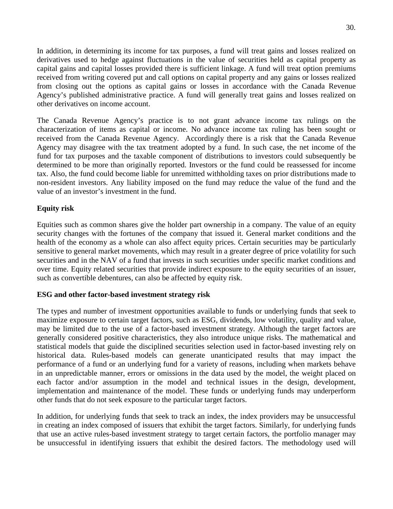In addition, in determining its income for tax purposes, a fund will treat gains and losses realized on derivatives used to hedge against fluctuations in the value of securities held as capital property as capital gains and capital losses provided there is sufficient linkage. A fund will treat option premiums received from writing covered put and call options on capital property and any gains or losses realized from closing out the options as capital gains or losses in accordance with the Canada Revenue Agency's published administrative practice. A fund will generally treat gains and losses realized on other derivatives on income account.

 The Canada Revenue Agency's practice is to not grant advance income tax rulings on the characterization of items as capital or income. No advance income tax ruling has been sought or received from the Canada Revenue Agency. Accordingly there is a risk that the Canada Revenue Agency may disagree with the tax treatment adopted by a fund. In such case, the net income of the fund for tax purposes and the taxable component of distributions to investors could subsequently be determined to be more than originally reported. Investors or the fund could be reassessed for income tax. Also, the fund could become liable for unremitted withholding taxes on prior distributions made to non-resident investors. Any liability imposed on the fund may reduce the value of the fund and the value of an investor's investment in the fund.

#### **Equity risk**

 Equities such as common shares give the holder part ownership in a company. The value of an equity security changes with the fortunes of the company that issued it. General market conditions and the health of the economy as a whole can also affect equity prices. Certain securities may be particularly sensitive to general market movements, which may result in a greater degree of price volatility for such securities and in the NAV of a fund that invests in such securities under specific market conditions and over time. Equity related securities that provide indirect exposure to the equity securities of an issuer, such as convertible debentures, can also be affected by equity risk.

#### **ESG and other factor-based investment strategy risk**

 The types and number of investment opportunities available to funds or underlying funds that seek to maximize exposure to certain target factors, such as ESG, dividends, low volatility, quality and value, may be limited due to the use of a factor-based investment strategy. Although the target factors are generally considered positive characteristics, they also introduce unique risks. The mathematical and statistical models that guide the disciplined securities selection used in factor-based investing rely on historical data. Rules-based models can generate unanticipated results that may impact the performance of a fund or an underlying fund for a variety of reasons, including when markets behave in an unpredictable manner, errors or omissions in the data used by the model, the weight placed on each factor and/or assumption in the model and technical issues in the design, development, implementation and maintenance of the model. These funds or underlying funds may underperform other funds that do not seek exposure to the particular target factors.

 In addition, for underlying funds that seek to track an index, the index providers may be unsuccessful in creating an index composed of issuers that exhibit the target factors. Similarly, for underlying funds that use an active rules-based investment strategy to target certain factors, the portfolio manager may be unsuccessful in identifying issuers that exhibit the desired factors. The methodology used will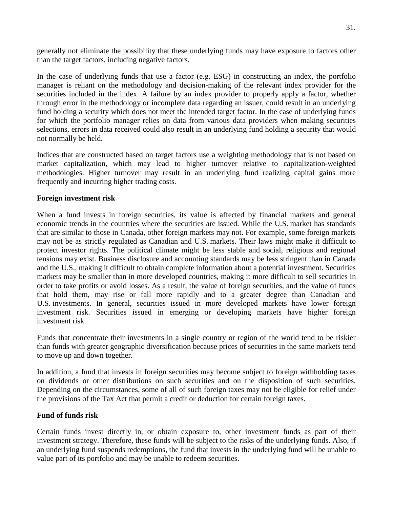generally not eliminate the possibility that these underlying funds may have exposure to factors other than the target factors, including negative factors.

 In the case of underlying funds that use a factor (e.g. ESG) in constructing an index, the portfolio manager is reliant on the methodology and decision-making of the relevant index provider for the securities included in the index. A failure by an index provider to properly apply a factor, whether through error in the methodology or incomplete data regarding an issuer, could result in an underlying fund holding a security which does not meet the intended target factor. In the case of underlying funds for which the portfolio manager relies on data from various data providers when making securities selections, errors in data received could also result in an underlying fund holding a security that would not normally be held.

 Indices that are constructed based on target factors use a weighting methodology that is not based on market capitalization, which may lead to higher turnover relative to capitalization-weighted methodologies. Higher turnover may result in an underlying fund realizing capital gains more frequently and incurring higher trading costs.

#### **Foreign investment risk**

When a fund invests in foreign securities, its value is affected by financial markets and general economic trends in the countries where the securities are issued. While the U.S. market has standards that are similar to those in Canada, other foreign markets may not. For example, some foreign markets may not be as strictly regulated as Canadian and U.S. markets. Their laws might make it difficult to protect investor rights. The political climate might be less stable and social, religious and regional tensions may exist. Business disclosure and accounting standards may be less stringent than in Canada and the U.S., making it difficult to obtain complete information about a potential investment. Securities markets may be smaller than in more developed countries, making it more difficult to sell securities in order to take profits or avoid losses. As a result, the value of foreign securities, and the value of funds that hold them, may rise or fall more rapidly and to a greater degree than Canadian and U.S. investments. In general, securities issued in more developed markets have lower foreign investment risk. Securities issued in emerging or developing markets have higher foreign investment risk.

 Funds that concentrate their investments in a single country or region of the world tend to be riskier than funds with greater geographic diversification because prices of securities in the same markets tend to move up and down together.

 In addition, a fund that invests in foreign securities may become subject to foreign withholding taxes on dividends or other distributions on such securities and on the disposition of such securities. Depending on the circumstances, some of all of such foreign taxes may not be eligible for relief under the provisions of the Tax Act that permit a credit or deduction for certain foreign taxes.

#### **Fund of funds risk**

 Certain funds invest directly in, or obtain exposure to, other investment funds as part of their investment strategy. Therefore, these funds will be subject to the risks of the underlying funds. Also, if an underlying fund suspends redemptions, the fund that invests in the underlying fund will be unable to value part of its portfolio and may be unable to redeem securities.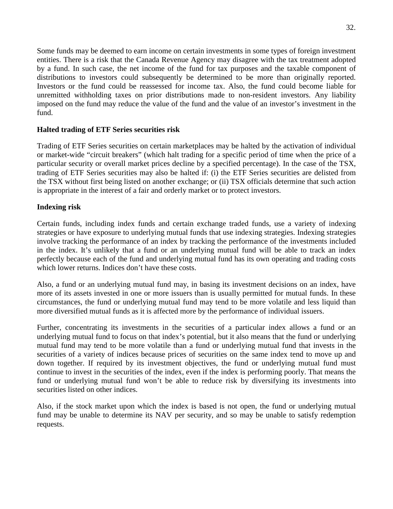entities. There is a risk that the Canada Revenue Agency may disagree with the tax treatment adopted by a fund. In such case, the net income of the fund for tax purposes and the taxable component of distributions to investors could subsequently be determined to be more than originally reported. Investors or the fund could be reassessed for income tax. Also, the fund could become liable for unremitted withholding taxes on prior distributions made to non-resident investors. Any liability imposed on the fund may reduce the value of the fund and the value of an investor's investment in the Some funds may be deemed to earn income on certain investments in some types of foreign investment fund.

#### **Halted trading of ETF Series securities risk**

 Trading of ETF Series securities on certain marketplaces may be halted by the activation of individual or market-wide "circuit breakers" (which halt trading for a specific period of time when the price of a particular security or overall market prices decline by a specified percentage). In the case of the TSX, trading of ETF Series securities may also be halted if: (i) the ETF Series securities are delisted from the TSX without first being listed on another exchange; or (ii) TSX officials determine that such action is appropriate in the interest of a fair and orderly market or to protect investors.

#### **Indexing risk**

 Certain funds, including index funds and certain exchange traded funds, use a variety of indexing strategies or have exposure to underlying mutual funds that use indexing strategies. Indexing strategies involve tracking the performance of an index by tracking the performance of the investments included in the index. It's unlikely that a fund or an underlying mutual fund will be able to track an index perfectly because each of the fund and underlying mutual fund has its own operating and trading costs which lower returns. Indices don't have these costs.

 Also, a fund or an underlying mutual fund may, in basing its investment decisions on an index, have more of its assets invested in one or more issuers than is usually permitted for mutual funds. In these circumstances, the fund or underlying mutual fund may tend to be more volatile and less liquid than more diversified mutual funds as it is affected more by the performance of individual issuers.

 Further, concentrating its investments in the securities of a particular index allows a fund or an underlying mutual fund to focus on that index's potential, but it also means that the fund or underlying mutual fund may tend to be more volatile than a fund or underlying mutual fund that invests in the securities of a variety of indices because prices of securities on the same index tend to move up and down together. If required by its investment objectives, the fund or underlying mutual fund must continue to invest in the securities of the index, even if the index is performing poorly. That means the fund or underlying mutual fund won't be able to reduce risk by diversifying its investments into securities listed on other indices.

 Also, if the stock market upon which the index is based is not open, the fund or underlying mutual fund may be unable to determine its NAV per security, and so may be unable to satisfy redemption requests.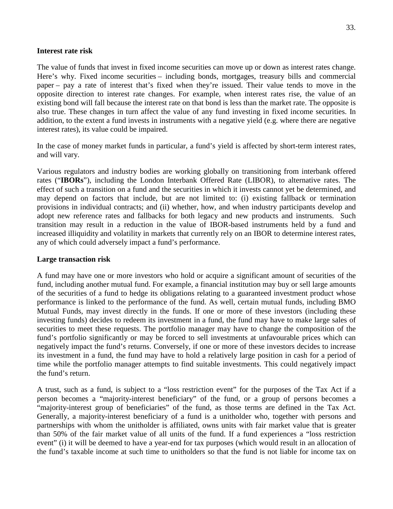#### **Interest rate risk**

 The value of funds that invest in fixed income securities can move up or down as interest rates change. Here's why. Fixed income securities – including bonds, mortgages, treasury bills and commercial paper – pay a rate of interest that's fixed when they're issued. Their value tends to move in the opposite direction to interest rate changes. For example, when interest rates rise, the value of an also true. These changes in turn affect the value of any fund investing in fixed income securities. In addition, to the extent a fund invests in instruments with a negative yield (e.g. where there are negative existing bond will fall because the interest rate on that bond is less than the market rate. The opposite is interest rates), its value could be impaired.

 In the case of money market funds in particular, a fund's yield is affected by short-term interest rates, and will vary.

 Various regulators and industry bodies are working globally on transitioning from interbank offered rates ("**IBORs**"), including the London Interbank Offered Rate (LIBOR), to alternative rates. The effect of such a transition on a fund and the securities in which it invests cannot yet be determined, and may depend on factors that include, but are not limited to: (i) existing fallback or termination provisions in individual contracts; and (ii) whether, how, and when industry participants develop and adopt new reference rates and fallbacks for both legacy and new products and instruments. Such transition may result in a reduction in the value of IBOR-based instruments held by a fund and increased illiquidity and volatility in markets that currently rely on an IBOR to determine interest rates, any of which could adversely impact a fund's performance.

#### **Large transaction risk**

 A fund may have one or more investors who hold or acquire a significant amount of securities of the fund, including another mutual fund. For example, a financial institution may buy or sell large amounts of the securities of a fund to hedge its obligations relating to a guaranteed investment product whose performance is linked to the performance of the fund. As well, certain mutual funds, including BMO Mutual Funds, may invest directly in the funds. If one or more of these investors (including these investing funds) decides to redeem its investment in a fund, the fund may have to make large sales of securities to meet these requests. The portfolio manager may have to change the composition of the fund's portfolio significantly or may be forced to sell investments at unfavourable prices which can negatively impact the fund's returns. Conversely, if one or more of these investors decides to increase its investment in a fund, the fund may have to hold a relatively large position in cash for a period of time while the portfolio manager attempts to find suitable investments. This could negatively impact the fund's return.

 A trust, such as a fund, is subject to a "loss restriction event" for the purposes of the Tax Act if a person becomes a "majority-interest beneficiary" of the fund, or a group of persons becomes a "majority-interest group of beneficiaries" of the fund, as those terms are defined in the Tax Act. Generally, a majority-interest beneficiary of a fund is a unitholder who, together with persons and partnerships with whom the unitholder is affiliated, owns units with fair market value that is greater than 50% of the fair market value of all units of the fund. If a fund experiences a "loss restriction event" (i) it will be deemed to have a year-end for tax purposes (which would result in an allocation of the fund's taxable income at such time to unitholders so that the fund is not liable for income tax on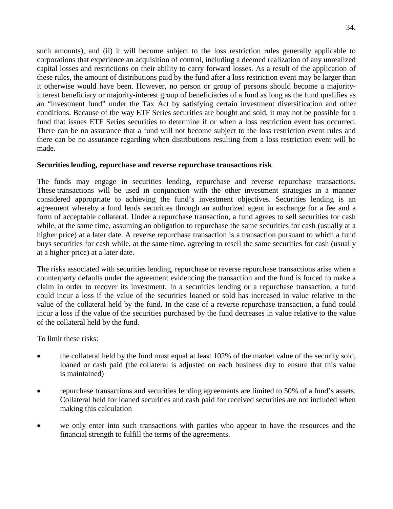such amounts), and (ii) it will become subject to the loss restriction rules generally applicable to corporations that experience an acquisition of control, including a deemed realization of any unrealized capital losses and restrictions on their ability to carry forward losses. As a result of the application of it otherwise would have been. However, no person or group of persons should become a majority- interest beneficiary or majority-interest group of beneficiaries of a fund as long as the fund qualifies as an "investment fund" under the Tax Act by satisfying certain investment diversification and other conditions. Because of the way ETF Series securities are bought and sold, it may not be possible for a fund that issues ETF Series securities to determine if or when a loss restriction event has occurred. There can be no assurance that a fund will not become subject to the loss restriction event rules and there can be no assurance regarding when distributions resulting from a loss restriction event will be these rules, the amount of distributions paid by the fund after a loss restriction event may be larger than made.

#### **Securities lending, repurchase and reverse repurchase transactions risk**

 The funds may engage in securities lending, repurchase and reverse repurchase transactions. These transactions will be used in conjunction with the other investment strategies in a manner considered appropriate to achieving the fund's investment objectives. Securities lending is an agreement whereby a fund lends securities through an authorized agent in exchange for a fee and a form of acceptable collateral. Under a repurchase transaction, a fund agrees to sell securities for cash while, at the same time, assuming an obligation to repurchase the same securities for cash (usually at a higher price) at a later date. A reverse repurchase transaction is a transaction pursuant to which a fund buys securities for cash while, at the same time, agreeing to resell the same securities for cash (usually at a higher price) at a later date.

 The risks associated with securities lending, repurchase or reverse repurchase transactions arise when a counterparty defaults under the agreement evidencing the transaction and the fund is forced to make a claim in order to recover its investment. In a securities lending or a repurchase transaction, a fund could incur a loss if the value of the securities loaned or sold has increased in value relative to the value of the collateral held by the fund. In the case of a reverse repurchase transaction, a fund could incur a loss if the value of the securities purchased by the fund decreases in value relative to the value of the collateral held by the fund.

To limit these risks:

- the collateral held by the fund must equal at least 102% of the market value of the security sold, loaned or cash paid (the collateral is adjusted on each business day to ensure that this value is maintained)
- repurchase transactions and securities lending agreements are limited to 50% of a fund's assets. Collateral held for loaned securities and cash paid for received securities are not included when making this calculation
- we only enter into such transactions with parties who appear to have the resources and the financial strength to fulfill the terms of the agreements.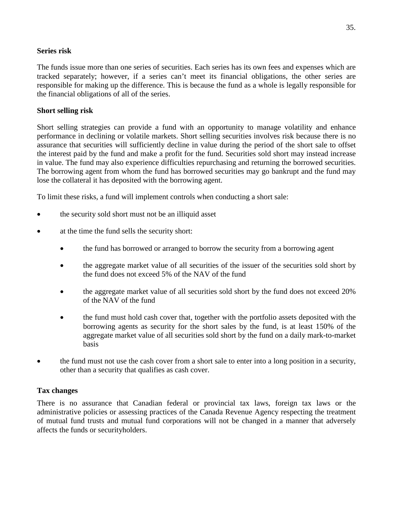#### **Series risk**

 The funds issue more than one series of securities. Each series has its own fees and expenses which are tracked separately; however, if a series can't meet its financial obligations, the other series are responsible for making up the difference. This is because the fund as a whole is legally responsible for the financial obligations of all of the series.

#### **Short selling risk**

 Short selling strategies can provide a fund with an opportunity to manage volatility and enhance performance in declining or volatile markets. Short selling securities involves risk because there is no assurance that securities will sufficiently decline in value during the period of the short sale to offset the interest paid by the fund and make a profit for the fund. Securities sold short may instead increase in value. The fund may also experience difficulties repurchasing and returning the borrowed securities. The borrowing agent from whom the fund has borrowed securities may go bankrupt and the fund may lose the collateral it has deposited with the borrowing agent.

To limit these risks, a fund will implement controls when conducting a short sale:

- the security sold short must not be an illiquid asset
- at the time the fund sells the security short:
	- the fund has borrowed or arranged to borrow the security from a borrowing agent
	- the aggregate market value of all securities of the issuer of the securities sold short by the fund does not exceed 5% of the NAV of the fund
	- the aggregate market value of all securities sold short by the fund does not exceed 20% of the NAV of the fund
	- the fund must hold cash cover that, together with the portfolio assets deposited with the borrowing agents as security for the short sales by the fund, is at least 150% of the aggregate market value of all securities sold short by the fund on a daily mark-to-market basis
- the fund must not use the cash cover from a short sale to enter into a long position in a security, other than a security that qualifies as cash cover.

## **Tax changes**

 There is no assurance that Canadian federal or provincial tax laws, foreign tax laws or the administrative policies or assessing practices of the Canada Revenue Agency respecting the treatment of mutual fund trusts and mutual fund corporations will not be changed in a manner that adversely affects the funds or securityholders.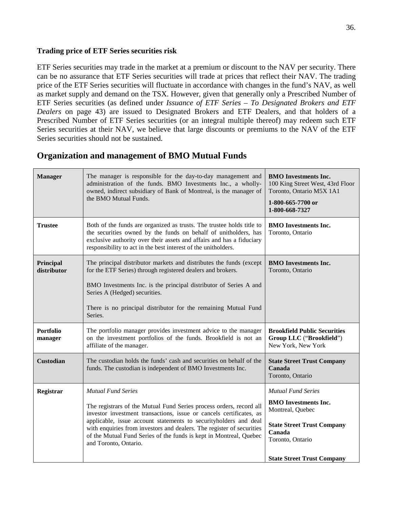#### <span id="page-36-0"></span>**Trading price of ETF Series securities risk**

 ETF Series securities may trade in the market at a premium or discount to the NAV per security. There can be no assurance that ETF Series securities will trade at prices that reflect their NAV. The trading price of the ETF Series securities will fluctuate in accordance with changes in the fund's NAV, as well as market supply and demand on the TSX. However, given that generally only a Prescribed Number of ETF Series securities (as defined under *Issuance of ETF Series – To Designated Brokers and ETF Dealers* on page 43) are issued to Designated Brokers and ETF Dealers, and that holders of a Prescribed Number of ETF Series securities (or an integral multiple thereof) may redeem such ETF Series securities at their NAV, we believe that large discounts or premiums to the NAV of the ETF Series securities should not be sustained.

# **Organization and management of BMO Mutual Funds**

| <b>Manager</b>              | The manager is responsible for the day-to-day management and<br>administration of the funds. BMO Investments Inc., a wholly-<br>owned, indirect subsidiary of Bank of Montreal, is the manager of<br>the BMO Mutual Funds.                                                                                                                                                                                          | <b>BMO</b> Investments Inc.<br>100 King Street West, 43rd Floor<br>Toronto, Ontario M5X 1A1<br>1-800-665-7700 or<br>1-800-668-7327                                                   |
|-----------------------------|---------------------------------------------------------------------------------------------------------------------------------------------------------------------------------------------------------------------------------------------------------------------------------------------------------------------------------------------------------------------------------------------------------------------|--------------------------------------------------------------------------------------------------------------------------------------------------------------------------------------|
| <b>Trustee</b>              | Both of the funds are organized as trusts. The trustee holds title to<br>the securities owned by the funds on behalf of unitholders, has<br>exclusive authority over their assets and affairs and has a fiduciary<br>responsibility to act in the best interest of the unitholders.                                                                                                                                 | <b>BMO</b> Investments Inc.<br>Toronto, Ontario                                                                                                                                      |
| Principal<br>distributor    | The principal distributor markets and distributes the funds (except<br>for the ETF Series) through registered dealers and brokers.<br>BMO Investments Inc. is the principal distributor of Series A and<br>Series A (Hedged) securities.<br>There is no principal distributor for the remaining Mutual Fund<br>Series.                                                                                              | <b>BMO</b> Investments Inc.<br>Toronto, Ontario                                                                                                                                      |
| <b>Portfolio</b><br>manager | The portfolio manager provides investment advice to the manager<br>on the investment portfolios of the funds. Brookfield is not an<br>affiliate of the manager.                                                                                                                                                                                                                                                     | <b>Brookfield Public Securities</b><br>Group LLC ("Brookfield")<br>New York, New York                                                                                                |
| <b>Custodian</b>            | The custodian holds the funds' cash and securities on behalf of the<br>funds. The custodian is independent of BMO Investments Inc.                                                                                                                                                                                                                                                                                  | <b>State Street Trust Company</b><br>Canada<br>Toronto, Ontario                                                                                                                      |
| Registrar                   | <b>Mutual Fund Series</b><br>The registrars of the Mutual Fund Series process orders, record all<br>investor investment transactions, issue or cancels certificates, as<br>applicable, issue account statements to securityholders and deal<br>with enquiries from investors and dealers. The register of securities<br>of the Mutual Fund Series of the funds is kept in Montreal, Quebec<br>and Toronto, Ontario. | <b>Mutual Fund Series</b><br><b>BMO</b> Investments Inc.<br>Montreal, Quebec<br><b>State Street Trust Company</b><br>Canada<br>Toronto, Ontario<br><b>State Street Trust Company</b> |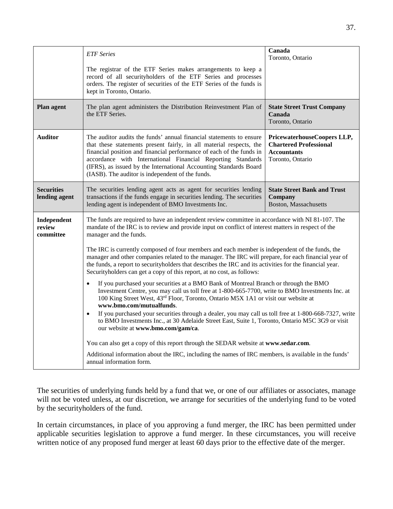|                                    | <b>ETF</b> Series                                                                                                                                                                                                                                                                                                                                                                                                                             | Canada<br>Toronto, Ontario                                                                             |  |
|------------------------------------|-----------------------------------------------------------------------------------------------------------------------------------------------------------------------------------------------------------------------------------------------------------------------------------------------------------------------------------------------------------------------------------------------------------------------------------------------|--------------------------------------------------------------------------------------------------------|--|
|                                    | The registrar of the ETF Series makes arrangements to keep a<br>record of all securityholders of the ETF Series and processes<br>orders. The register of securities of the ETF Series of the funds is<br>kept in Toronto, Ontario.                                                                                                                                                                                                            |                                                                                                        |  |
| <b>Plan agent</b>                  | The plan agent administers the Distribution Reinvestment Plan of<br>the ETF Series.                                                                                                                                                                                                                                                                                                                                                           | <b>State Street Trust Company</b><br>Canada<br>Toronto, Ontario                                        |  |
| <b>Auditor</b>                     | The auditor audits the funds' annual financial statements to ensure<br>that these statements present fairly, in all material respects, the<br>financial position and financial performance of each of the funds in<br>accordance with International Financial Reporting Standards<br>(IFRS), as issued by the International Accounting Standards Board<br>(IASB). The auditor is independent of the funds.                                    | PricewaterhouseCoopers LLP,<br><b>Chartered Professional</b><br><b>Accountants</b><br>Toronto, Ontario |  |
| <b>Securities</b><br>lending agent | The securities lending agent acts as agent for securities lending<br>transactions if the funds engage in securities lending. The securities<br>lending agent is independent of BMO Investments Inc.                                                                                                                                                                                                                                           | <b>State Street Bank and Trust</b><br>Company<br><b>Boston, Massachusetts</b>                          |  |
| Independent<br>review<br>committee | The funds are required to have an independent review committee in accordance with NI 81-107. The<br>mandate of the IRC is to review and provide input on conflict of interest matters in respect of the<br>manager and the funds.                                                                                                                                                                                                             |                                                                                                        |  |
|                                    | The IRC is currently composed of four members and each member is independent of the funds, the<br>manager and other companies related to the manager. The IRC will prepare, for each financial year of<br>the funds, a report to securityholders that describes the IRC and its activities for the financial year.<br>Securityholders can get a copy of this report, at no cost, as follows:                                                  |                                                                                                        |  |
|                                    | If you purchased your securities at a BMO Bank of Montreal Branch or through the BMO<br>$\bullet$<br>Investment Centre, you may call us toll free at 1-800-665-7700, write to BMO Investments Inc. at<br>100 King Street West, 43rd Floor, Toronto, Ontario M5X 1A1 or visit our website at<br>www.bmo.com/mutualfunds.<br>If you purchased your securities through a dealer, you may call us toll free at 1-800-668-7327, write<br>$\bullet$ |                                                                                                        |  |
|                                    | to BMO Investments Inc., at 30 Adelaide Street East, Suite 1, Toronto, Ontario M5C 3G9 or visit<br>our website at www.bmo.com/gam/ca.                                                                                                                                                                                                                                                                                                         |                                                                                                        |  |
|                                    | You can also get a copy of this report through the SEDAR website at www.sedar.com.                                                                                                                                                                                                                                                                                                                                                            |                                                                                                        |  |
|                                    | Additional information about the IRC, including the names of IRC members, is available in the funds'<br>annual information form.                                                                                                                                                                                                                                                                                                              |                                                                                                        |  |

 The securities of underlying funds held by a fund that we, or one of our affiliates or associates, manage will not be voted unless, at our discretion, we arrange for securities of the underlying fund to be voted by the securityholders of the fund.

 In certain circumstances, in place of you approving a fund merger, the IRC has been permitted under applicable securities legislation to approve a fund merger. In these circumstances, you will receive written notice of any proposed fund merger at least 60 days prior to the effective date of the merger.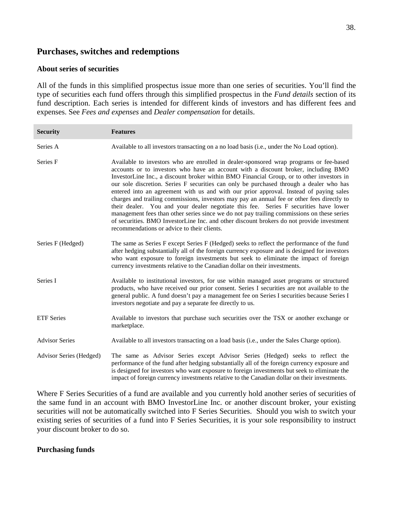# <span id="page-38-0"></span> **Purchases, switches and redemptions**

#### **About series of securities**

 All of the funds in this simplified prospectus issue more than one series of securities. You'll find the type of securities each fund offers through this simplified prospectus in the *Fund details* section of its fund description. Each series is intended for different kinds of investors and has different fees and expenses. See *Fees and expenses* and *Dealer compensation* for details.

| <b>Security</b>         | <b>Features</b>                                                                                                                                                                                                                                                                                                                                                                                                                                                                                                                                                                                                                                                                                                                                                                                                                                                                                 |
|-------------------------|-------------------------------------------------------------------------------------------------------------------------------------------------------------------------------------------------------------------------------------------------------------------------------------------------------------------------------------------------------------------------------------------------------------------------------------------------------------------------------------------------------------------------------------------------------------------------------------------------------------------------------------------------------------------------------------------------------------------------------------------------------------------------------------------------------------------------------------------------------------------------------------------------|
| Series A                | Available to all investors transacting on a no load basis (i.e., under the No Load option).                                                                                                                                                                                                                                                                                                                                                                                                                                                                                                                                                                                                                                                                                                                                                                                                     |
| Series F                | Available to investors who are enrolled in dealer-sponsored wrap programs or fee-based<br>accounts or to investors who have an account with a discount broker, including BMO<br>InvestorLine Inc., a discount broker within BMO Financial Group, or to other investors in<br>our sole discretion. Series F securities can only be purchased through a dealer who has<br>entered into an agreement with us and with our prior approval. Instead of paying sales<br>charges and trailing commissions, investors may pay an annual fee or other fees directly to<br>their dealer. You and your dealer negotiate this fee. Series F securities have lower<br>management fees than other series since we do not pay trailing commissions on these series<br>of securities. BMO InvestorLine Inc. and other discount brokers do not provide investment<br>recommendations or advice to their clients. |
| Series F (Hedged)       | The same as Series F except Series F (Hedged) seeks to reflect the performance of the fund<br>after hedging substantially all of the foreign currency exposure and is designed for investors<br>who want exposure to foreign investments but seek to eliminate the impact of foreign<br>currency investments relative to the Canadian dollar on their investments.                                                                                                                                                                                                                                                                                                                                                                                                                                                                                                                              |
| Series I                | Available to institutional investors, for use within managed asset programs or structured<br>products, who have received our prior consent. Series I securities are not available to the<br>general public. A fund doesn't pay a management fee on Series I securities because Series I<br>investors negotiate and pay a separate fee directly to us.                                                                                                                                                                                                                                                                                                                                                                                                                                                                                                                                           |
| <b>ETF</b> Series       | Available to investors that purchase such securities over the TSX or another exchange or<br>marketplace.                                                                                                                                                                                                                                                                                                                                                                                                                                                                                                                                                                                                                                                                                                                                                                                        |
| <b>Advisor Series</b>   | Available to all investors transacting on a load basis (i.e., under the Sales Charge option).                                                                                                                                                                                                                                                                                                                                                                                                                                                                                                                                                                                                                                                                                                                                                                                                   |
| Advisor Series (Hedged) | The same as Advisor Series except Advisor Series (Hedged) seeks to reflect the<br>performance of the fund after hedging substantially all of the foreign currency exposure and<br>is designed for investors who want exposure to foreign investments but seek to eliminate the<br>impact of foreign currency investments relative to the Canadian dollar on their investments.                                                                                                                                                                                                                                                                                                                                                                                                                                                                                                                  |

 Where F Series Securities of a fund are available and you currently hold another series of securities of the same fund in an account with BMO InvestorLine Inc. or another discount broker, your existing securities will not be automatically switched into F Series Securities. Should you wish to switch your existing series of securities of a fund into F Series Securities, it is your sole responsibility to instruct your discount broker to do so.

#### **Purchasing funds**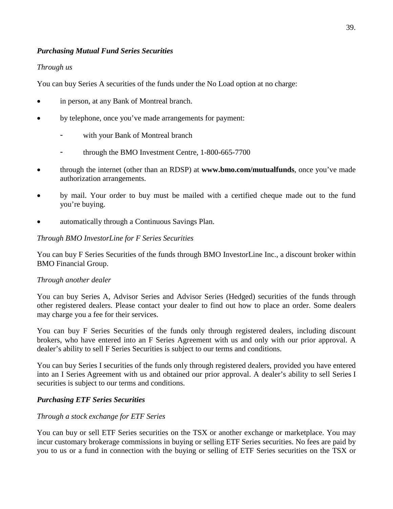#### *Purchasing Mutual Fund Series Securities*

#### *Through us*

You can buy Series A securities of the funds under the No Load option at no charge:

- in person, at any Bank of Montreal branch.
- by telephone, once you've made arrangements for payment:
	- with your Bank of Montreal branch
	- through the BMO Investment Centre, 1-800-665-7700
- through the internet (other than an RDSP) at **www.bmo.com/mutualfunds**, once you've made authorization arrangements.
- by mail. Your order to buy must be mailed with a certified cheque made out to the fund you're buying.
- automatically through a Continuous Savings Plan.

#### *Through BMO InvestorLine for F Series Securities*

 You can buy F Series Securities of the funds through BMO InvestorLine Inc., a discount broker within BMO Financial Group.

#### *Through another dealer*

 You can buy Series A, Advisor Series and Advisor Series (Hedged) securities of the funds through other registered dealers. Please contact your dealer to find out how to place an order. Some dealers may charge you a fee for their services.

 You can buy F Series Securities of the funds only through registered dealers, including discount brokers, who have entered into an F Series Agreement with us and only with our prior approval. A dealer's ability to sell F Series Securities is subject to our terms and conditions.

 You can buy Series I securities of the funds only through registered dealers, provided you have entered into an I Series Agreement with us and obtained our prior approval. A dealer's ability to sell Series I securities is subject to our terms and conditions.

## *Purchasing ETF Series Securities*

## *Through a stock exchange for ETF Series*

 You can buy or sell ETF Series securities on the TSX or another exchange or marketplace. You may incur customary brokerage commissions in buying or selling ETF Series securities. No fees are paid by you to us or a fund in connection with the buying or selling of ETF Series securities on the TSX or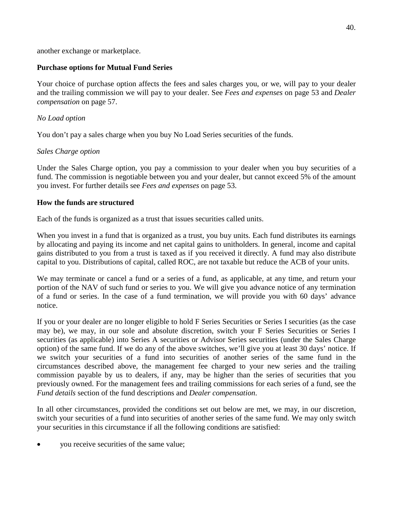another exchange or marketplace.

#### **Purchase options for Mutual Fund Series**

 Your choice of purchase option affects the fees and sales charges you, or we, will pay to your dealer and the trailing commission we will pay to your dealer. See *Fees and expenses* on page 53 and *Dealer compensation* on page 57.

#### *No Load option*

You don't pay a sales charge when you buy No Load Series securities of the funds.

#### *Sales Charge option*

 Under the Sales Charge option, you pay a commission to your dealer when you buy securities of a fund. The commission is negotiable between you and your dealer, but cannot exceed 5% of the amount you invest. For further details see *Fees and expenses* on page 53.

#### **How the funds are structured**

Each of the funds is organized as a trust that issues securities called units.

 When you invest in a fund that is organized as a trust, you buy units. Each fund distributes its earnings by allocating and paying its income and net capital gains to unitholders. In general, income and capital gains distributed to you from a trust is taxed as if you received it directly. A fund may also distribute capital to you. Distributions of capital, called ROC, are not taxable but reduce the ACB of your units.

 We may terminate or cancel a fund or a series of a fund, as applicable, at any time, and return your portion of the NAV of such fund or series to you. We will give you advance notice of any termination of a fund or series. In the case of a fund termination, we will provide you with 60 days' advance notice.

 If you or your dealer are no longer eligible to hold F Series Securities or Series I securities (as the case may be), we may, in our sole and absolute discretion, switch your F Series Securities or Series I securities (as applicable) into Series A securities or Advisor Series securities (under the Sales Charge option) of the same fund. If we do any of the above switches, we'll give you at least 30 days' notice. If we switch your securities of a fund into securities of another series of the same fund in the circumstances described above, the management fee charged to your new series and the trailing commission payable by us to dealers, if any, may be higher than the series of securities that you previously owned. For the management fees and trailing commissions for each series of a fund, see the *Fund details* section of the fund descriptions and *Dealer compensation*.

 In all other circumstances, provided the conditions set out below are met, we may, in our discretion, switch your securities of a fund into securities of another series of the same fund. We may only switch your securities in this circumstance if all the following conditions are satisfied:

you receive securities of the same value;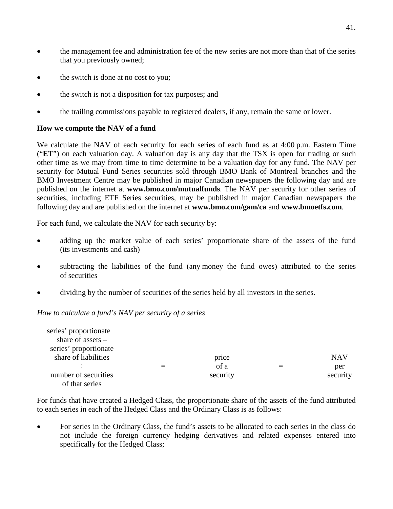- the management fee and administration fee of the new series are not more than that of the series that you previously owned;
- the switch is done at no cost to you;
- the switch is not a disposition for tax purposes; and
- the trailing commissions payable to registered dealers, if any, remain the same or lower.

#### **How we compute the NAV of a fund**

 We calculate the NAV of each security for each series of each fund as at 4:00 p.m. Eastern Time ("**ET**") on each valuation day. A valuation day is any day that the TSX is open for trading or such other time as we may from time to time determine to be a valuation day for any fund. The NAV per security for Mutual Fund Series securities sold through BMO Bank of Montreal branches and the BMO Investment Centre may be published in major Canadian newspapers the following day and are published on the internet at **www.bmo.com/mutualfunds**. The NAV per security for other series of securities, including ETF Series securities, may be published in major Canadian newspapers the following day and are published on the internet at **[www.bmo.com/gam/ca](http://www.bmo.com/gam/ca)** and **[www.bmoetfs.com](http://www.bmoetfs.com)**.

For each fund, we calculate the NAV for each security by:

- adding up the market value of each series' proportionate share of the assets of the fund (its investments and cash)
- subtracting the liabilities of the fund (any money the fund owes) attributed to the series of securities
- dividing by the number of securities of the series held by all investors in the series.

#### *How to calculate a fund's NAV per security of a series*

| series' proportionate |          |            |
|-----------------------|----------|------------|
| share of assets $-$   |          |            |
| series' proportionate |          |            |
| share of liabilities  | price    | <b>NAV</b> |
|                       | of a     | per        |
| number of securities  | security | security   |
| of that series        |          |            |

 For funds that have created a Hedged Class, the proportionate share of the assets of the fund attributed to each series in each of the Hedged Class and the Ordinary Class is as follows:

 For series in the Ordinary Class, the fund's assets to be allocated to each series in the class do not include the foreign currency hedging derivatives and related expenses entered into specifically for the Hedged Class;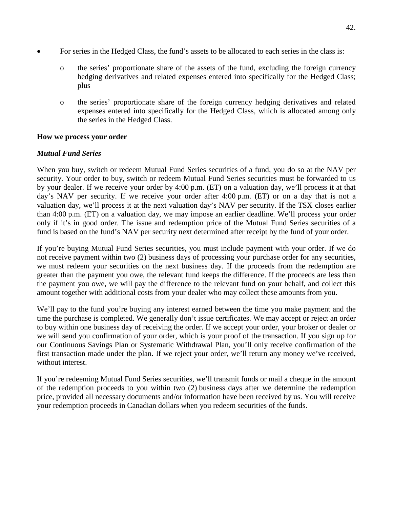- For series in the Hedged Class, the fund's assets to be allocated to each series in the class is:
	- o the series' proportionate share of the assets of the fund, excluding the foreign currency hedging derivatives and related expenses entered into specifically for the Hedged Class; plus
	- o the series' proportionate share of the foreign currency hedging derivatives and related expenses entered into specifically for the Hedged Class, which is allocated among only the series in the Hedged Class.

#### **How we process your order**

## *Mutual Fund Series*

 When you buy, switch or redeem Mutual Fund Series securities of a fund, you do so at the NAV per security. Your order to buy, switch or redeem Mutual Fund Series securities must be forwarded to us by your dealer. If we receive your order by 4:00 p.m. (ET) on a valuation day, we'll process it at that day's NAV per security. If we receive your order after 4:00 p.m. (ET) or on a day that is not a valuation day, we'll process it at the next valuation day's NAV per security. If the TSX closes earlier than 4:00 p.m. (ET) on a valuation day, we may impose an earlier deadline. We'll process your order only if it's in good order. The issue and redemption price of the Mutual Fund Series securities of a fund is based on the fund's NAV per security next determined after receipt by the fund of your order.

 If you're buying Mutual Fund Series securities, you must include payment with your order. If we do not receive payment within two (2) business days of processing your purchase order for any securities, we must redeem your securities on the next business day. If the proceeds from the redemption are greater than the payment you owe, the relevant fund keeps the difference. If the proceeds are less than the payment you owe, we will pay the difference to the relevant fund on your behalf, and collect this amount together with additional costs from your dealer who may collect these amounts from you.

 We'll pay to the fund you're buying any interest earned between the time you make payment and the time the purchase is completed. We generally don't issue certificates. We may accept or reject an order to buy within one business day of receiving the order. If we accept your order, your broker or dealer or we will send you confirmation of your order, which is your proof of the transaction. If you sign up for our Continuous Savings Plan or Systematic Withdrawal Plan, you'll only receive confirmation of the first transaction made under the plan. If we reject your order, we'll return any money we've received, without interest.

 If you're redeeming Mutual Fund Series securities, we'll transmit funds or mail a cheque in the amount of the redemption proceeds to you within two (2) business days after we determine the redemption price, provided all necessary documents and/or information have been received by us. You will receive your redemption proceeds in Canadian dollars when you redeem securities of the funds.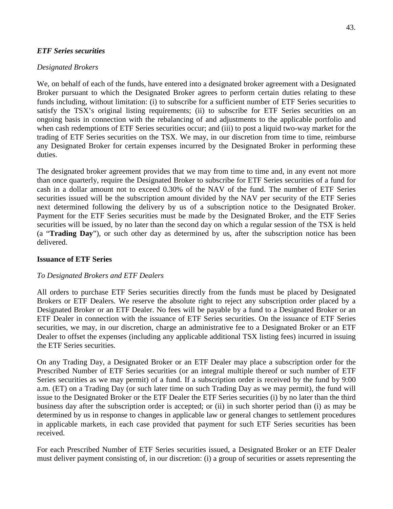#### *ETF Series securities*

#### *Designated Brokers*

 We, on behalf of each of the funds, have entered into a designated broker agreement with a Designated Broker pursuant to which the Designated Broker agrees to perform certain duties relating to these funds including, without limitation: (i) to subscribe for a sufficient number of ETF Series securities to satisfy the TSX's original listing requirements; (ii) to subscribe for ETF Series securities on an ongoing basis in connection with the rebalancing of and adjustments to the applicable portfolio and when cash redemptions of ETF Series securities occur; and (iii) to post a liquid two-way market for the trading of ETF Series securities on the TSX. We may, in our discretion from time to time, reimburse any Designated Broker for certain expenses incurred by the Designated Broker in performing these duties.

duties.<br>The designated broker agreement provides that we may from time to time and, in any event not more than once quarterly, require the Designated Broker to subscribe for ETF Series securities of a fund for cash in a dollar amount not to exceed 0.30% of the NAV of the fund. The number of ETF Series securities issued will be the subscription amount divided by the NAV per security of the ETF Series next determined following the delivery by us of a subscription notice to the Designated Broker. Payment for the ETF Series securities must be made by the Designated Broker, and the ETF Series securities will be issued, by no later than the second day on which a regular session of the TSX is held (a "**Trading Day**"), or such other day as determined by us, after the subscription notice has been delivered.

#### **Issuance of ETF Series**

#### *To Designated Brokers and ETF Dealers*

 All orders to purchase ETF Series securities directly from the funds must be placed by Designated Brokers or ETF Dealers. We reserve the absolute right to reject any subscription order placed by a Designated Broker or an ETF Dealer. No fees will be payable by a fund to a Designated Broker or an ETF Dealer in connection with the issuance of ETF Series securities. On the issuance of ETF Series securities, we may, in our discretion, charge an administrative fee to a Designated Broker or an ETF Dealer to offset the expenses (including any applicable additional TSX listing fees) incurred in issuing the ETF Series securities.

On any Trading Day, a Designated Broker or an ETF Dealer may place a subscription order for the Prescribed Number of ETF Series securities (or an integral multiple thereof or such number of ETF Series securities as we may permit) of a fund. If a subscription order is received by the fund by 9:00 a.m. (ET) on a Trading Day (or such later time on such Trading Day as we may permit), the fund will issue to the Designated Broker or the ETF Dealer the ETF Series securities (i) by no later than the third business day after the subscription order is accepted; or (ii) in such shorter period than (i) as may be determined by us in response to changes in applicable law or general changes to settlement procedures in applicable markets, in each case provided that payment for such ETF Series securities has been received.

 For each Prescribed Number of ETF Series securities issued, a Designated Broker or an ETF Dealer must deliver payment consisting of, in our discretion: (i) a group of securities or assets representing the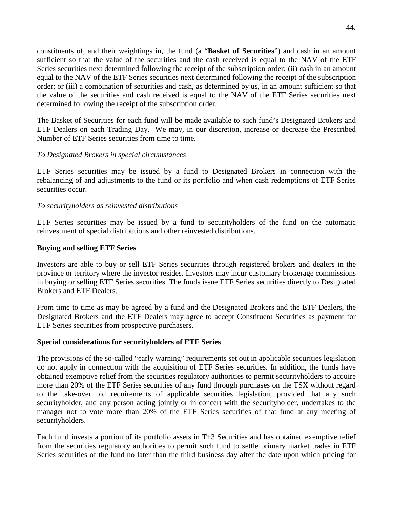constituents of, and their weightings in, the fund (a "**Basket of Securities**") and cash in an amount sufficient so that the value of the securities and the cash received is equal to the NAV of the ETF Series securities next determined following the receipt of the subscription order; (ii) cash in an amount order; or (iii) a combination of securities and cash, as determined by us, in an amount sufficient so that the value of the securities and cash received is equal to the NAV of the ETF Series securities next equal to the NAV of the ETF Series securities next determined following the receipt of the subscription determined following the receipt of the subscription order.

 The Basket of Securities for each fund will be made available to such fund's Designated Brokers and ETF Dealers on each Trading Day. We may, in our discretion, increase or decrease the Prescribed Number of ETF Series securities from time to time.

#### *To Designated Brokers in special circumstances*

 ETF Series securities may be issued by a fund to Designated Brokers in connection with the rebalancing of and adjustments to the fund or its portfolio and when cash redemptions of ETF Series securities occur.

#### *To securityholders as reinvested distributions*

 ETF Series securities may be issued by a fund to securityholders of the fund on the automatic reinvestment of special distributions and other reinvested distributions.

#### **Buying and selling ETF Series**

 Investors are able to buy or sell ETF Series securities through registered brokers and dealers in the province or territory where the investor resides. Investors may incur customary brokerage commissions in buying or selling ETF Series securities. The funds issue ETF Series securities directly to Designated Brokers and ETF Dealers.

 From time to time as may be agreed by a fund and the Designated Brokers and the ETF Dealers, the Designated Brokers and the ETF Dealers may agree to accept Constituent Securities as payment for ETF Series securities from prospective purchasers.

#### **Special considerations for securityholders of ETF Series**

 The provisions of the so-called "early warning" requirements set out in applicable securities legislation do not apply in connection with the acquisition of ETF Series securities. In addition, the funds have obtained exemptive relief from the securities regulatory authorities to permit securityholders to acquire more than 20% of the ETF Series securities of any fund through purchases on the TSX without regard to the take-over bid requirements of applicable securities legislation, provided that any such securityholder, and any person acting jointly or in concert with the securityholder, undertakes to the manager not to vote more than 20% of the ETF Series securities of that fund at any meeting of securityholders.

securityholders.<br>Each fund invests a portion of its portfolio assets in T+3 Securities and has obtained exemptive relief from the securities regulatory authorities to permit such fund to settle primary market trades in ETF Series securities of the fund no later than the third business day after the date upon which pricing for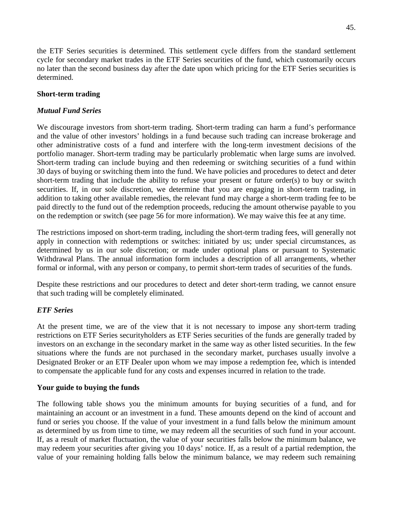the ETF Series securities is determined. This settlement cycle differs from the standard settlement cycle for secondary market trades in the ETF Series securities of the fund, which customarily occurs no later than the second business day after the date upon which pricing for the ETF Series securities is determined.

## **Short-term trading**

## *Mutual Fund Series*

 We discourage investors from short-term trading. Short-term trading can harm a fund's performance and the value of other investors' holdings in a fund because such trading can increase brokerage and other administrative costs of a fund and interfere with the long-term investment decisions of the portfolio manager. Short-term trading may be particularly problematic when large sums are involved. Short-term trading can include buying and then redeeming or switching securities of a fund within short-term trading that include the ability to refuse your present or future order(s) to buy or switch securities. If, in our sole discretion, we determine that you are engaging in short-term trading, in addition to taking other available remedies, the relevant fund may charge a short-term trading fee to be paid directly to the fund out of the redemption proceeds, reducing the amount otherwise payable to you 30 days of buying or switching them into the fund. We have policies and procedures to detect and deter on the redemption or switch (see page 56 for more information). We may waive this fee at any time.

 The restrictions imposed on short-term trading, including the short-term trading fees, will generally not apply in connection with redemptions or switches: initiated by us; under special circumstances, as determined by us in our sole discretion; or made under optional plans or pursuant to Systematic Withdrawal Plans. The annual information form includes a description of all arrangements, whether formal or informal, with any person or company, to permit short-term trades of securities of the funds.

 Despite these restrictions and our procedures to detect and deter short-term trading, we cannot ensure that such trading will be completely eliminated.

## *ETF Series*

 At the present time, we are of the view that it is not necessary to impose any short-term trading restrictions on ETF Series securityholders as ETF Series securities of the funds are generally traded by investors on an exchange in the secondary market in the same way as other listed securities. In the few situations where the funds are not purchased in the secondary market, purchases usually involve a Designated Broker or an ETF Dealer upon whom we may impose a redemption fee, which is intended to compensate the applicable fund for any costs and expenses incurred in relation to the trade.

## **Your guide to buying the funds**

 The following table shows you the minimum amounts for buying securities of a fund, and for maintaining an account or an investment in a fund. These amounts depend on the kind of account and fund or series you choose. If the value of your investment in a fund falls below the minimum amount as determined by us from time to time, we may redeem all the securities of such fund in your account. If, as a result of market fluctuation, the value of your securities falls below the minimum balance, we may redeem your securities after giving you 10 days' notice. If, as a result of a partial redemption, the value of your remaining holding falls below the minimum balance, we may redeem such remaining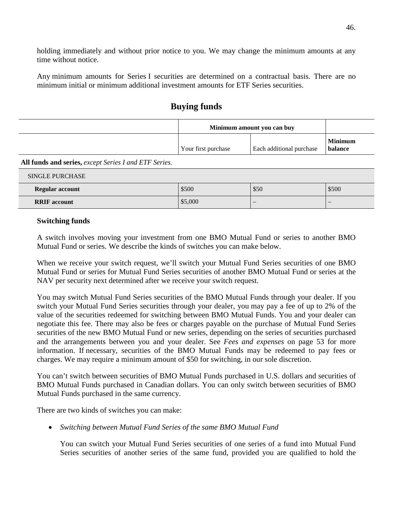holding immediately and without prior notice to you. We may change the minimum amounts at any time without notice.

 Any minimum amounts for Series I securities are determined on a contractual basis. There are no minimum initial or minimum additional investment amounts for ETF Series securities.

|  | <b>Buying funds</b> |
|--|---------------------|

| Minimum amount you can buy |                                 |                           |
|----------------------------|---------------------------------|---------------------------|
| Your first purchase        | <b>Each additional purchase</b> | <b>Minimum</b><br>balance |

**All funds and series,** *except Series I and ETF Series.* 

| <b>SINGLE PURCHASE</b> |         |                          |                          |
|------------------------|---------|--------------------------|--------------------------|
| Regular account        | \$500   | \$50                     | \$500                    |
| <b>RRIF</b> account    | \$5,000 | $\overline{\phantom{a}}$ | $\overline{\phantom{a}}$ |

#### **Switching funds**

 A switch involves moving your investment from one BMO Mutual Fund or series to another BMO Mutual Fund or series. We describe the kinds of switches you can make below.

 When we receive your switch request, we'll switch your Mutual Fund Series securities of one BMO Mutual Fund or series for Mutual Fund Series securities of another BMO Mutual Fund or series at the NAV per security next determined after we receive your switch request.

 You may switch Mutual Fund Series securities of the BMO Mutual Funds through your dealer. If you switch your Mutual Fund Series securities through your dealer, you may pay a fee of up to 2% of the value of the securities redeemed for switching between BMO Mutual Funds. You and your dealer can negotiate this fee. There may also be fees or charges payable on the purchase of Mutual Fund Series securities of the new BMO Mutual Fund or new series, depending on the series of securities purchased and the arrangements between you and your dealer. See *Fees and expenses* on page 53 for more information. If necessary, securities of the BMO Mutual Funds may be redeemed to pay fees or charges. We may require a minimum amount of \$50 for switching, in our sole discretion.

 BMO Mutual Funds purchased in Canadian dollars. You can only switch between securities of BMO You can't switch between securities of BMO Mutual Funds purchased in U.S. dollars and securities of Mutual Funds purchased in the same currency.

There are two kinds of switches you can make:

*Switching between Mutual Fund Series of the same BMO Mutual Fund* 

 You can switch your Mutual Fund Series securities of one series of a fund into Mutual Fund Series securities of another series of the same fund, provided you are qualified to hold the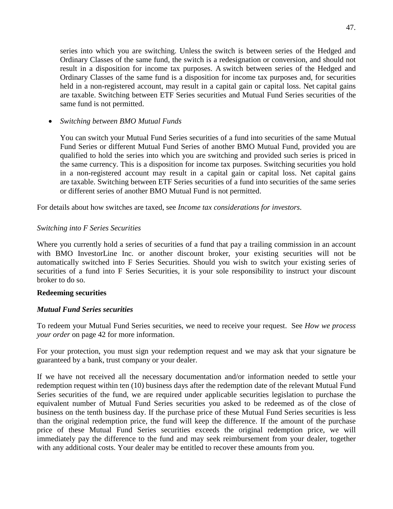series into which you are switching. Unless the switch is between series of the Hedged and Ordinary Classes of the same fund, the switch is a redesignation or conversion, and should not result in a disposition for income tax purposes. A switch between series of the Hedged and Ordinary Classes of the same fund is a disposition for income tax purposes and, for securities held in a non-registered account, may result in a capital gain or capital loss. Net capital gains are taxable. Switching between ETF Series securities and Mutual Fund Series securities of the same fund is not permitted.

*Switching between BMO Mutual Funds* 

You can switch your Mutual Fund Series securities of a fund into securities of the same Mutual Fund Series or different Mutual Fund Series of another BMO Mutual Fund, provided you are qualified to hold the series into which you are switching and provided such series is priced in the same currency. This is a disposition for income tax purposes. Switching securities you hold in a non-registered account may result in a capital gain or capital loss. Net capital gains are taxable. Switching between ETF Series securities of a fund into securities of the same series or different series of another BMO Mutual Fund is not permitted.

For details about how switches are taxed, see *Income tax considerations for investors*.

#### *Switching into F Series Securities*

 Where you currently hold a series of securities of a fund that pay a trailing commission in an account with BMO InvestorLine Inc. or another discount broker, your existing securities will not be automatically switched into F Series Securities. Should you wish to switch your existing series of securities of a fund into F Series Securities, it is your sole responsibility to instruct your discount broker to do so.

#### **Redeeming securities**

#### *Mutual Fund Series securities*

 To redeem your Mutual Fund Series securities, we need to receive your request. See *How we process your order* on page 42 for more information.

 For your protection, you must sign your redemption request and we may ask that your signature be guaranteed by a bank, trust company or your dealer.

 If we have not received all the necessary documentation and/or information needed to settle your Series securities of the fund, we are required under applicable securities legislation to purchase the equivalent number of Mutual Fund Series securities you asked to be redeemed as of the close of business on the tenth business day. If the purchase price of these Mutual Fund Series securities is less than the original redemption price, the fund will keep the difference. If the amount of the purchase price of these Mutual Fund Series securities exceeds the original redemption price, we will immediately pay the difference to the fund and may seek reimbursement from your dealer, together with any additional costs. Your dealer may be entitled to recover these amounts from you. redemption request within ten (10) business days after the redemption date of the relevant Mutual Fund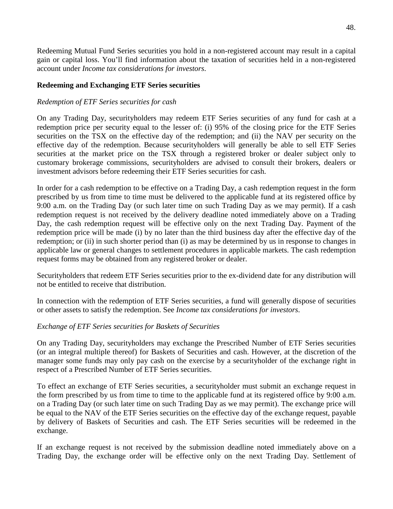Redeeming Mutual Fund Series securities you hold in a non-registered account may result in a capital gain or capital loss. You'll find information about the taxation of securities held in a non-registered account under *Income tax considerations for investors*.

#### **Redeeming and Exchanging ETF Series securities**

#### *Redemption of ETF Series securities for cash*

 On any Trading Day, securityholders may redeem ETF Series securities of any fund for cash at a redemption price per security equal to the lesser of: (i) 95% of the closing price for the ETF Series securities on the TSX on the effective day of the redemption; and (ii) the NAV per security on the effective day of the redemption. Because securityholders will generally be able to sell ETF Series securities at the market price on the TSX through a registered broker or dealer subject only to customary brokerage commissions, securityholders are advised to consult their brokers, dealers or investment advisors before redeeming their ETF Series securities for cash.

In order for a cash redemption to be effective on a Trading Day, a cash redemption request in the form prescribed by us from time to time must be delivered to the applicable fund at its registered office by 9:00 a.m. on the Trading Day (or such later time on such Trading Day as we may permit). If a cash redemption request is not received by the delivery deadline noted immediately above on a Trading Day, the cash redemption request will be effective only on the next Trading Day. Payment of the redemption price will be made (i) by no later than the third business day after the effective day of the redemption; or (ii) in such shorter period than (i) as may be determined by us in response to changes in applicable law or general changes to settlement procedures in applicable markets. The cash redemption request forms may be obtained from any registered broker or dealer.

 Securityholders that redeem ETF Series securities prior to the ex-dividend date for any distribution will not be entitled to receive that distribution.

 In connection with the redemption of ETF Series securities, a fund will generally dispose of securities or other assets to satisfy the redemption. See *Income tax considerations for investors*.

## *Exchange of ETF Series securities for Baskets of Securities*

 On any Trading Day, securityholders may exchange the Prescribed Number of ETF Series securities (or an integral multiple thereof) for Baskets of Securities and cash. However, at the discretion of the manager some funds may only pay cash on the exercise by a securityholder of the exchange right in respect of a Prescribed Number of ETF Series securities.

 To effect an exchange of ETF Series securities, a securityholder must submit an exchange request in the form prescribed by us from time to time to the applicable fund at its registered office by 9:00 a.m. on a Trading Day (or such later time on such Trading Day as we may permit). The exchange price will be equal to the NAV of the ETF Series securities on the effective day of the exchange request, payable by delivery of Baskets of Securities and cash. The ETF Series securities will be redeemed in the exchange.

 If an exchange request is not received by the submission deadline noted immediately above on a Trading Day, the exchange order will be effective only on the next Trading Day. Settlement of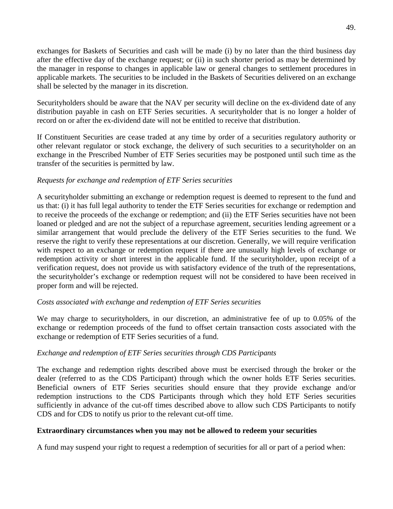exchanges for Baskets of Securities and cash will be made (i) by no later than the third business day after the effective day of the exchange request; or (ii) in such shorter period as may be determined by the manager in response to changes in applicable law or general changes to settlement procedures in applicable markets. The securities to be included in the Baskets of Securities delivered on an exchange shall be selected by the manager in its discretion.

 Securityholders should be aware that the NAV per security will decline on the ex-dividend date of any distribution payable in cash on ETF Series securities. A securityholder that is no longer a holder of record on or after the ex-dividend date will not be entitled to receive that distribution.

 If Constituent Securities are cease traded at any time by order of a securities regulatory authority or other relevant regulator or stock exchange, the delivery of such securities to a securityholder on an exchange in the Prescribed Number of ETF Series securities may be postponed until such time as the transfer of the securities is permitted by law.

#### *Requests for exchange and redemption of ETF Series securities*

 A securityholder submitting an exchange or redemption request is deemed to represent to the fund and us that: (i) it has full legal authority to tender the ETF Series securities for exchange or redemption and to receive the proceeds of the exchange or redemption; and (ii) the ETF Series securities have not been loaned or pledged and are not the subject of a repurchase agreement, securities lending agreement or a similar arrangement that would preclude the delivery of the ETF Series securities to the fund. We reserve the right to verify these representations at our discretion. Generally, we will require verification with respect to an exchange or redemption request if there are unusually high levels of exchange or redemption activity or short interest in the applicable fund. If the securityholder, upon receipt of a verification request, does not provide us with satisfactory evidence of the truth of the representations, the securityholder's exchange or redemption request will not be considered to have been received in proper form and will be rejected.

#### *Costs associated with exchange and redemption of ETF Series securities*

 We may charge to securityholders, in our discretion, an administrative fee of up to 0.05% of the exchange or redemption proceeds of the fund to offset certain transaction costs associated with the exchange or redemption of ETF Series securities of a fund.

#### *Exchange and redemption of ETF Series securities through CDS Participants*

 The exchange and redemption rights described above must be exercised through the broker or the dealer (referred to as the CDS Participant) through which the owner holds ETF Series securities. Beneficial owners of ETF Series securities should ensure that they provide exchange and/or redemption instructions to the CDS Participants through which they hold ETF Series securities sufficiently in advance of the cut-off times described above to allow such CDS Participants to notify CDS and for CDS to notify us prior to the relevant cut-off time.

#### **Extraordinary circumstances when you may not be allowed to redeem your securities**

A fund may suspend your right to request a redemption of securities for all or part of a period when: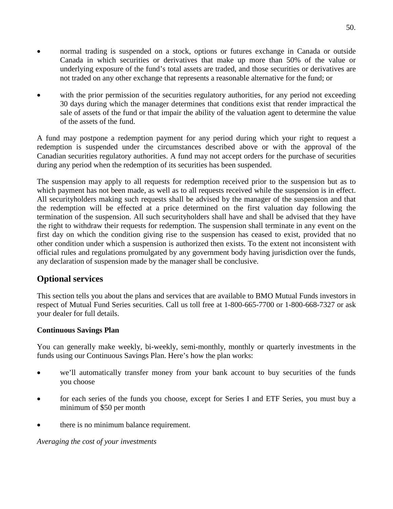- <span id="page-50-0"></span> normal trading is suspended on a stock, options or futures exchange in Canada or outside Canada in which securities or derivatives that make up more than 50% of the value or underlying exposure of the fund's total assets are traded, and those securities or derivatives are not traded on any other exchange that represents a reasonable alternative for the fund; or
- with the prior permission of the securities regulatory authorities, for any period not exceeding 30 days during which the manager determines that conditions exist that render impractical the sale of assets of the fund or that impair the ability of the valuation agent to determine the value of the assets of the fund.

 A fund may postpone a redemption payment for any period during which your right to request a redemption is suspended under the circumstances described above or with the approval of the Canadian securities regulatory authorities. A fund may not accept orders for the purchase of securities during any period when the redemption of its securities has been suspended.

 The suspension may apply to all requests for redemption received prior to the suspension but as to which payment has not been made, as well as to all requests received while the suspension is in effect. All securityholders making such requests shall be advised by the manager of the suspension and that the redemption will be effected at a price determined on the first valuation day following the termination of the suspension. All such securityholders shall have and shall be advised that they have the right to withdraw their requests for redemption. The suspension shall terminate in any event on the first day on which the condition giving rise to the suspension has ceased to exist, provided that no other condition under which a suspension is authorized then exists. To the extent not inconsistent with official rules and regulations promulgated by any government body having jurisdiction over the funds, any declaration of suspension made by the manager shall be conclusive.

# **Optional services**

 respect of Mutual Fund Series securities. Call us toll free at 1-800-665-7700 or 1-800-668-7327 or ask This section tells you about the plans and services that are available to BMO Mutual Funds investors in your dealer for full details.

## **Continuous Savings Plan**

 You can generally make weekly, bi-weekly, semi-monthly, monthly or quarterly investments in the funds using our Continuous Savings Plan. Here's how the plan works:

- we'll automatically transfer money from your bank account to buy securities of the funds you choose
- for each series of the funds you choose, except for Series I and ETF Series, you must buy a minimum of \$50 per month
- there is no minimum balance requirement.

*Averaging the cost of your investments*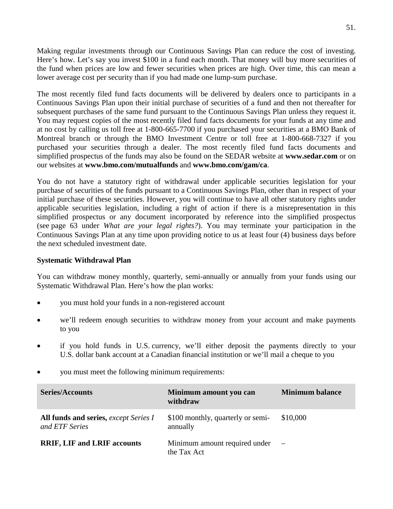Making regular investments through our Continuous Savings Plan can reduce the cost of investing. Here's how. Let's say you invest \$100 in a fund each month. That money will buy more securities of the fund when prices are low and fewer securities when prices are high. Over time, this can mean a lower average cost per security than if you had made one lump-sum purchase.

 The most recently filed fund facts documents will be delivered by dealers once to participants in a Continuous Savings Plan upon their initial purchase of securities of a fund and then not thereafter for subsequent purchases of the same fund pursuant to the Continuous Savings Plan unless they request it. You may request copies of the most recently filed fund facts documents for your funds at any time and at no cost by calling us toll free at 1-800-665-7700 if you purchased your securities at a BMO Bank of Montreal branch or through the BMO Investment Centre or toll free at 1-800-668-7327 if you purchased your securities through a dealer. The most recently filed fund facts documents and simplified prospectus of the funds may also be found on the SEDAR website at **www.sedar.com** or on our websites at **www.bmo.com/mutualfunds** and **www.bmo.com/gam/ca**.

 You do not have a statutory right of withdrawal under applicable securities legislation for your purchase of securities of the funds pursuant to a Continuous Savings Plan, other than in respect of your initial purchase of these securities. However, you will continue to have all other statutory rights under applicable securities legislation, including a right of action if there is a misrepresentation in this simplified prospectus or any document incorporated by reference into the simplified prospectus (see page 63 under *What are your legal rights?*). You may terminate your participation in the Continuous Savings Plan at any time upon providing notice to us at least four (4) business days before the next scheduled investment date.

#### **Systematic Withdrawal Plan**

 You can withdraw money monthly, quarterly, semi-annually or annually from your funds using our Systematic Withdrawal Plan. Here's how the plan works:

- you must hold your funds in a non-registered account
- we'll redeem enough securities to withdraw money from your account and make payments to you
- if you hold funds in U.S. currency, we'll either deposit the payments directly to your U.S. dollar bank account at a Canadian financial institution or we'll mail a cheque to you
- you must meet the following minimum requirements:

| <b>Series/Accounts</b>                                  | Minimum amount you can<br>withdraw            | <b>Minimum balance</b>   |
|---------------------------------------------------------|-----------------------------------------------|--------------------------|
| All funds and series, except Series I<br>and ETF Series | \$100 monthly, quarterly or semi-<br>annually | \$10,000                 |
| <b>RRIF, LIF and LRIF accounts</b>                      | Minimum amount required under<br>the Tax Act  | $\overline{\phantom{a}}$ |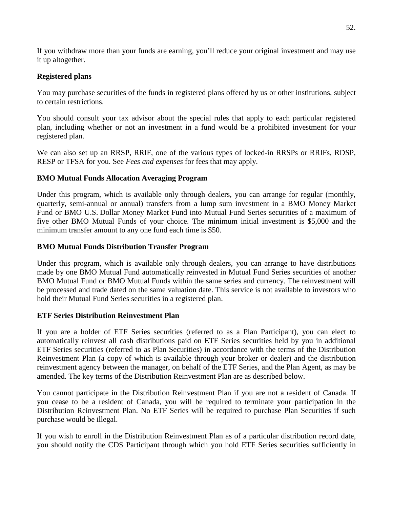If you withdraw more than your funds are earning, you'll reduce your original investment and may use it up altogether.

## **Registered plans**

 You may purchase securities of the funds in registered plans offered by us or other institutions, subject to certain restrictions.

to certain restrictions.<br>You should consult your tax advisor about the special rules that apply to each particular registered plan, including whether or not an investment in a fund would be a prohibited investment for your registered plan.

 We can also set up an RRSP, RRIF, one of the various types of locked-in RRSPs or RRIFs, RDSP, RESP or TFSA for you. See *Fees and expenses* for fees that may apply.

# **BMO Mutual Funds Allocation Averaging Program**

 Under this program, which is available only through dealers, you can arrange for regular (monthly, quarterly, semi-annual or annual) transfers from a lump sum investment in a BMO Money Market Fund or BMO U.S. Dollar Money Market Fund into Mutual Fund Series securities of a maximum of five other BMO Mutual Funds of your choice. The minimum initial investment is \$5,000 and the minimum transfer amount to any one fund each time is \$50.

# **BMO Mutual Funds Distribution Transfer Program**

 Under this program, which is available only through dealers, you can arrange to have distributions made by one BMO Mutual Fund automatically reinvested in Mutual Fund Series securities of another BMO Mutual Fund or BMO Mutual Funds within the same series and currency. The reinvestment will be processed and trade dated on the same valuation date. This service is not available to investors who hold their Mutual Fund Series securities in a registered plan.

## **ETF Series Distribution Reinvestment Plan**

 If you are a holder of ETF Series securities (referred to as a Plan Participant), you can elect to automatically reinvest all cash distributions paid on ETF Series securities held by you in additional ETF Series securities (referred to as Plan Securities) in accordance with the terms of the Distribution Reinvestment Plan (a copy of which is available through your broker or dealer) and the distribution reinvestment agency between the manager, on behalf of the ETF Series, and the Plan Agent, as may be amended. The key terms of the Distribution Reinvestment Plan are as described below.

 You cannot participate in the Distribution Reinvestment Plan if you are not a resident of Canada. If you cease to be a resident of Canada, you will be required to terminate your participation in the Distribution Reinvestment Plan. No ETF Series will be required to purchase Plan Securities if such purchase would be illegal.

 If you wish to enroll in the Distribution Reinvestment Plan as of a particular distribution record date, you should notify the CDS Participant through which you hold ETF Series securities sufficiently in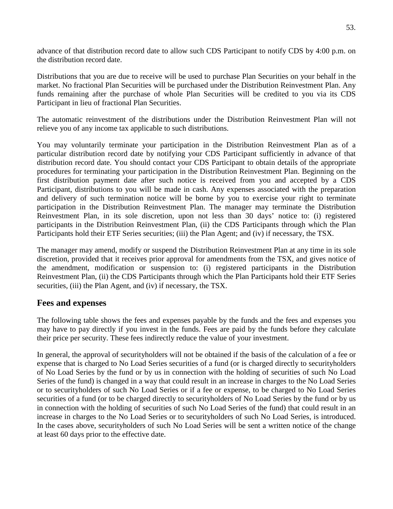<span id="page-53-0"></span> advance of that distribution record date to allow such CDS Participant to notify CDS by 4:00 p.m. on the distribution record date.

 Distributions that you are due to receive will be used to purchase Plan Securities on your behalf in the market. No fractional Plan Securities will be purchased under the Distribution Reinvestment Plan. Any funds remaining after the purchase of whole Plan Securities will be credited to you via its CDS Participant in lieu of fractional Plan Securities.

Participant in lieu of fractional Plan Securities.<br>The automatic reinvestment of the distributions under the Distribution Reinvestment Plan will not relieve you of any income tax applicable to such distributions.

 You may voluntarily terminate your participation in the Distribution Reinvestment Plan as of a particular distribution record date by notifying your CDS Participant sufficiently in advance of that distribution record date. You should contact your CDS Participant to obtain details of the appropriate procedures for terminating your participation in the Distribution Reinvestment Plan. Beginning on the first distribution payment date after such notice is received from you and accepted by a CDS Participant, distributions to you will be made in cash. Any expenses associated with the preparation and delivery of such termination notice will be borne by you to exercise your right to terminate participation in the Distribution Reinvestment Plan. The manager may terminate the Distribution Reinvestment Plan, in its sole discretion, upon not less than 30 days' notice to: (i) registered participants in the Distribution Reinvestment Plan, (ii) the CDS Participants through which the Plan Participants hold their ETF Series securities; (iii) the Plan Agent; and (iv) if necessary, the TSX.

 The manager may amend, modify or suspend the Distribution Reinvestment Plan at any time in its sole discretion, provided that it receives prior approval for amendments from the TSX, and gives notice of the amendment, modification or suspension to: (i) registered participants in the Distribution Reinvestment Plan, (ii) the CDS Participants through which the Plan Participants hold their ETF Series securities, (iii) the Plan Agent, and (iv) if necessary, the TSX.

# **Fees and expenses**

 The following table shows the fees and expenses payable by the funds and the fees and expenses you may have to pay directly if you invest in the funds. Fees are paid by the funds before they calculate their price per security. These fees indirectly reduce the value of your investment.

 In general, the approval of securityholders will not be obtained if the basis of the calculation of a fee or expense that is charged to No Load Series securities of a fund (or is charged directly to securityholders of No Load Series by the fund or by us in connection with the holding of securities of such No Load Series of the fund) is changed in a way that could result in an increase in charges to the No Load Series or to securityholders of such No Load Series or if a fee or expense, to be charged to No Load Series securities of a fund (or to be charged directly to securityholders of No Load Series by the fund or by us in connection with the holding of securities of such No Load Series of the fund) that could result in an In the cases above, securityholders of such No Load Series will be sent a written notice of the change increase in charges to the No Load Series or to securityholders of such No Load Series, is introduced. at least 60 days prior to the effective date.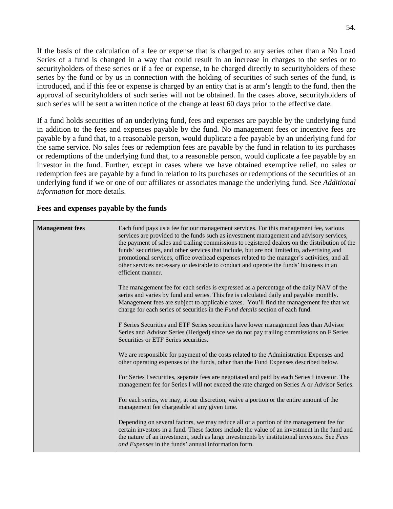If the basis of the calculation of a fee or expense that is charged to any series other than a No Load Series of a fund is changed in a way that could result in an increase in charges to the series or to securityholders of these series or if a fee or expense, to be charged directly to securityholders of these series by the fund or by us in connection with the holding of securities of such series of the fund, is introduced, and if this fee or expense is charged by an entity that is at arm's length to the fund, then the approval of securityholders of such series will not be obtained. In the cases above, securityholders of such series will be sent a written notice of the change at least 60 days prior to the effective date.

 If a fund holds securities of an underlying fund, fees and expenses are payable by the underlying fund in addition to the fees and expenses payable by the fund. No management fees or incentive fees are payable by a fund that, to a reasonable person, would duplicate a fee payable by an underlying fund for the same service. No sales fees or redemption fees are payable by the fund in relation to its purchases or redemptions of the underlying fund that, to a reasonable person, would duplicate a fee payable by an investor in the fund. Further, except in cases where we have obtained exemptive relief, no sales or redemption fees are payable by a fund in relation to its purchases or redemptions of the securities of an underlying fund if we or one of our affiliates or associates manage the underlying fund. See *Additional information* for more details.

| <b>Management</b> fees | Each fund pays us a fee for our management services. For this management fee, various<br>services are provided to the funds such as investment management and advisory services,<br>the payment of sales and trailing commissions to registered dealers on the distribution of the<br>funds' securities, and other services that include, but are not limited to, advertising and<br>promotional services, office overhead expenses related to the manager's activities, and all<br>other services necessary or desirable to conduct and operate the funds' business in an<br>efficient manner. |
|------------------------|-------------------------------------------------------------------------------------------------------------------------------------------------------------------------------------------------------------------------------------------------------------------------------------------------------------------------------------------------------------------------------------------------------------------------------------------------------------------------------------------------------------------------------------------------------------------------------------------------|
|                        | The management fee for each series is expressed as a percentage of the daily NAV of the<br>series and varies by fund and series. This fee is calculated daily and payable monthly.<br>Management fees are subject to applicable taxes. You'll find the management fee that we<br>charge for each series of securities in the Fund details section of each fund.                                                                                                                                                                                                                                 |
|                        | F Series Securities and ETF Series securities have lower management fees than Advisor<br>Series and Advisor Series (Hedged) since we do not pay trailing commissions on F Series<br>Securities or ETF Series securities.                                                                                                                                                                                                                                                                                                                                                                        |
|                        | We are responsible for payment of the costs related to the Administration Expenses and<br>other operating expenses of the funds, other than the Fund Expenses described below.                                                                                                                                                                                                                                                                                                                                                                                                                  |
|                        | For Series I securities, separate fees are negotiated and paid by each Series I investor. The<br>management fee for Series I will not exceed the rate charged on Series A or Advisor Series.                                                                                                                                                                                                                                                                                                                                                                                                    |
|                        | For each series, we may, at our discretion, waive a portion or the entire amount of the<br>management fee chargeable at any given time.                                                                                                                                                                                                                                                                                                                                                                                                                                                         |
|                        | Depending on several factors, we may reduce all or a portion of the management fee for<br>certain investors in a fund. These factors include the value of an investment in the fund and<br>the nature of an investment, such as large investments by institutional investors. See Fees<br>and Expenses in the funds' annual information form.                                                                                                                                                                                                                                                   |

#### **Fees and expenses payable by the funds**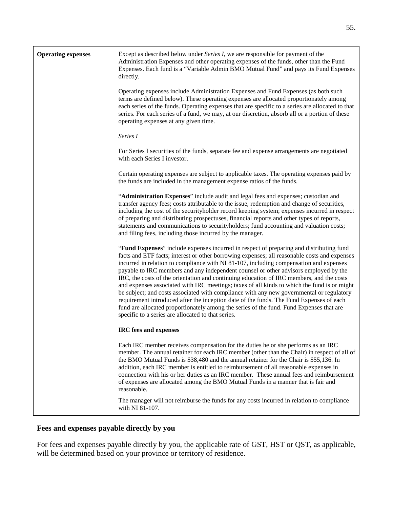| <b>Operating expenses</b> | Except as described below under Series I, we are responsible for payment of the<br>Administration Expenses and other operating expenses of the funds, other than the Fund<br>Expenses. Each fund is a "Variable Admin BMO Mutual Fund" and pays its Fund Expenses<br>directly.                                                                                                                                                                                                                                                                                                                                                                                                                                                                                                                                                                                                                               |  |
|---------------------------|--------------------------------------------------------------------------------------------------------------------------------------------------------------------------------------------------------------------------------------------------------------------------------------------------------------------------------------------------------------------------------------------------------------------------------------------------------------------------------------------------------------------------------------------------------------------------------------------------------------------------------------------------------------------------------------------------------------------------------------------------------------------------------------------------------------------------------------------------------------------------------------------------------------|--|
|                           | Operating expenses include Administration Expenses and Fund Expenses (as both such<br>terms are defined below). These operating expenses are allocated proportionately among<br>each series of the funds. Operating expenses that are specific to a series are allocated to that<br>series. For each series of a fund, we may, at our discretion, absorb all or a portion of these<br>operating expenses at any given time.                                                                                                                                                                                                                                                                                                                                                                                                                                                                                  |  |
|                           | Series I                                                                                                                                                                                                                                                                                                                                                                                                                                                                                                                                                                                                                                                                                                                                                                                                                                                                                                     |  |
|                           | For Series I securities of the funds, separate fee and expense arrangements are negotiated<br>with each Series I investor.                                                                                                                                                                                                                                                                                                                                                                                                                                                                                                                                                                                                                                                                                                                                                                                   |  |
|                           | Certain operating expenses are subject to applicable taxes. The operating expenses paid by<br>the funds are included in the management expense ratios of the funds.                                                                                                                                                                                                                                                                                                                                                                                                                                                                                                                                                                                                                                                                                                                                          |  |
|                           | "Administration Expenses" include audit and legal fees and expenses; custodian and<br>transfer agency fees; costs attributable to the issue, redemption and change of securities,<br>including the cost of the securityholder record keeping system; expenses incurred in respect<br>of preparing and distributing prospectuses, financial reports and other types of reports,<br>statements and communications to securityholders; fund accounting and valuation costs;<br>and filing fees, including those incurred by the manager.                                                                                                                                                                                                                                                                                                                                                                        |  |
|                           | "Fund Expenses" include expenses incurred in respect of preparing and distributing fund<br>facts and ETF facts; interest or other borrowing expenses; all reasonable costs and expenses<br>incurred in relation to compliance with NI 81-107, including compensation and expenses<br>payable to IRC members and any independent counsel or other advisors employed by the<br>IRC, the costs of the orientation and continuing education of IRC members, and the costs<br>and expenses associated with IRC meetings; taxes of all kinds to which the fund is or might<br>be subject; and costs associated with compliance with any new governmental or regulatory<br>requirement introduced after the inception date of the funds. The Fund Expenses of each<br>fund are allocated proportionately among the series of the fund. Fund Expenses that are<br>specific to a series are allocated to that series. |  |
|                           | IRC fees and expenses                                                                                                                                                                                                                                                                                                                                                                                                                                                                                                                                                                                                                                                                                                                                                                                                                                                                                        |  |
|                           | Each IRC member receives compensation for the duties he or she performs as an IRC<br>member. The annual retainer for each IRC member (other than the Chair) in respect of all of<br>the BMO Mutual Funds is \$38,480 and the annual retainer for the Chair is \$55,136. In<br>addition, each IRC member is entitled to reimbursement of all reasonable expenses in<br>connection with his or her duties as an IRC member. These annual fees and reimbursement<br>of expenses are allocated among the BMO Mutual Funds in a manner that is fair and<br>reasonable.                                                                                                                                                                                                                                                                                                                                            |  |
|                           | The manager will not reimburse the funds for any costs incurred in relation to compliance<br>with NI 81-107.                                                                                                                                                                                                                                                                                                                                                                                                                                                                                                                                                                                                                                                                                                                                                                                                 |  |

# **Fees and expenses payable directly by you**

 For fees and expenses payable directly by you, the applicable rate of GST, HST or QST, as applicable, will be determined based on your province or territory of residence.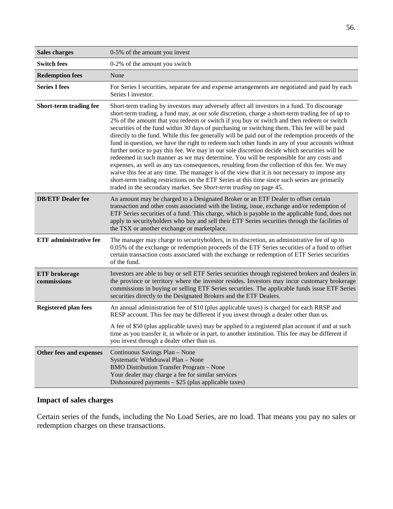| <b>Sales charges</b>                | 0-5% of the amount you invest                                                                                                                                                                                                                                                                                                                                                                                                                                                                                                                                                                                                                                                                                                                                                                                                                                                                                                                                                                                                                                                                                                                                           |
|-------------------------------------|-------------------------------------------------------------------------------------------------------------------------------------------------------------------------------------------------------------------------------------------------------------------------------------------------------------------------------------------------------------------------------------------------------------------------------------------------------------------------------------------------------------------------------------------------------------------------------------------------------------------------------------------------------------------------------------------------------------------------------------------------------------------------------------------------------------------------------------------------------------------------------------------------------------------------------------------------------------------------------------------------------------------------------------------------------------------------------------------------------------------------------------------------------------------------|
| <b>Switch fees</b>                  | 0-2% of the amount you switch                                                                                                                                                                                                                                                                                                                                                                                                                                                                                                                                                                                                                                                                                                                                                                                                                                                                                                                                                                                                                                                                                                                                           |
| <b>Redemption fees</b>              | None                                                                                                                                                                                                                                                                                                                                                                                                                                                                                                                                                                                                                                                                                                                                                                                                                                                                                                                                                                                                                                                                                                                                                                    |
| <b>Series I fees</b>                | For Series I securities, separate fee and expense arrangements are negotiated and paid by each<br>Series I investor.                                                                                                                                                                                                                                                                                                                                                                                                                                                                                                                                                                                                                                                                                                                                                                                                                                                                                                                                                                                                                                                    |
| Short-term trading fee              | Short-term trading by investors may adversely affect all investors in a fund. To discourage<br>short-term trading, a fund may, at our sole discretion, charge a short-term trading fee of up to<br>2% of the amount that you redeem or switch if you buy or switch and then redeem or switch<br>securities of the fund within 30 days of purchasing or switching them. This fee will be paid<br>directly to the fund. While this fee generally will be paid out of the redemption proceeds of the<br>fund in question, we have the right to redeem such other funds in any of your accounts without<br>further notice to pay this fee. We may in our sole discretion decide which securities will be<br>redeemed in such manner as we may determine. You will be responsible for any costs and<br>expenses, as well as any tax consequences, resulting from the collection of this fee. We may<br>waive this fee at any time. The manager is of the view that it is not necessary to impose any<br>short-term trading restrictions on the ETF Series at this time since such series are primarily<br>traded in the secondary market. See Short-term trading on page 45. |
| <b>DB/ETF Dealer fee</b>            | An amount may be charged to a Designated Broker or an ETF Dealer to offset certain<br>transaction and other costs associated with the listing, issue, exchange and/or redemption of<br>ETF Series securities of a fund. This charge, which is payable to the applicable fund, does not<br>apply to securityholders who buy and sell their ETF Series securities through the facilities of<br>the TSX or another exchange or marketplace.                                                                                                                                                                                                                                                                                                                                                                                                                                                                                                                                                                                                                                                                                                                                |
| <b>ETF</b> administrative fee       | The manager may charge to securityholders, in its discretion, an administrative fee of up to<br>0.05% of the exchange or redemption proceeds of the ETF Series securities of a fund to offset<br>certain transaction costs associated with the exchange or redemption of ETF Series securities<br>of the fund.                                                                                                                                                                                                                                                                                                                                                                                                                                                                                                                                                                                                                                                                                                                                                                                                                                                          |
| <b>ETF</b> brokerage<br>commissions | Investors are able to buy or sell ETF Series securities through registered brokers and dealers in<br>the province or territory where the investor resides. Investors may incur customary brokerage<br>commissions in buying or selling ETF Series securities. The applicable funds issue ETF Series<br>securities directly to the Designated Brokers and the ETF Dealers.                                                                                                                                                                                                                                                                                                                                                                                                                                                                                                                                                                                                                                                                                                                                                                                               |
| <b>Registered plan fees</b>         | An annual administration fee of \$10 (plus applicable taxes) is charged for each RRSP and<br>RESP account. This fee may be different if you invest through a dealer other than us.                                                                                                                                                                                                                                                                                                                                                                                                                                                                                                                                                                                                                                                                                                                                                                                                                                                                                                                                                                                      |
|                                     | A fee of \$50 (plus applicable taxes) may be applied to a registered plan account if and at such<br>time as you transfer it, in whole or in part, to another institution. This fee may be different if<br>you invest through a dealer other than us.                                                                                                                                                                                                                                                                                                                                                                                                                                                                                                                                                                                                                                                                                                                                                                                                                                                                                                                    |
| Other fees and expenses             | Continuous Savings Plan - None<br>Systematic Withdrawal Plan - None<br><b>BMO Distribution Transfer Program - None</b><br>Your dealer may charge a fee for similar services<br>Dishonoured payments $-$ \$25 (plus applicable taxes)                                                                                                                                                                                                                                                                                                                                                                                                                                                                                                                                                                                                                                                                                                                                                                                                                                                                                                                                    |

# **Impact of sales charges**

 Certain series of the funds, including the No Load Series, are no load. That means you pay no sales or redemption charges on these transactions.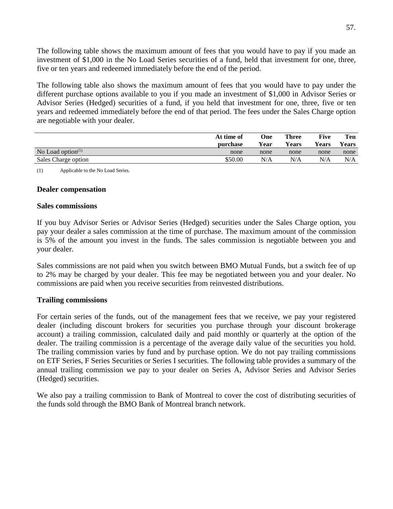<span id="page-57-0"></span> The following table shows the maximum amount of fees that you would have to pay if you made an investment of \$1,000 in the No Load Series securities of a fund, held that investment for one, three, five or ten years and redeemed immediately before the end of the period.

 different purchase options available to you if you made an investment of \$1,000 in Advisor Series or Advisor Series (Hedged) securities of a fund, if you held that investment for one, three, five or ten years and redeemed immediately before the end of that period. The fees under the Sales Charge option are negotiable with your dealer. The following table also shows the maximum amount of fees that you would have to pay under the

|                      | At time of<br>purchase | <b>One</b><br>Year | <b>Three</b><br>Years | Five<br>Years | Ten<br>Years |
|----------------------|------------------------|--------------------|-----------------------|---------------|--------------|
| No Load option $(1)$ | none                   | none               | none                  | none          | none         |
| Sales Charge option  | \$50.00                | N/A                | N/A                   | N/A           | N/A          |
|                      |                        |                    |                       |               |              |

(1) Applicable to the No Load Series.

#### **Dealer compensation**

#### **Sales commissions**

 If you buy Advisor Series or Advisor Series (Hedged) securities under the Sales Charge option, you pay your dealer a sales commission at the time of purchase. The maximum amount of the commission is 5% of the amount you invest in the funds. The sales commission is negotiable between you and your dealer.

 Sales commissions are not paid when you switch between BMO Mutual Funds, but a switch fee of up to 2% may be charged by your dealer. This fee may be negotiated between you and your dealer. No commissions are paid when you receive securities from reinvested distributions.

#### **Trailing commissions**

 For certain series of the funds, out of the management fees that we receive, we pay your registered dealer (including discount brokers for securities you purchase through your discount brokerage account) a trailing commission, calculated daily and paid monthly or quarterly at the option of the dealer. The trailing commission is a percentage of the average daily value of the securities you hold. The trailing commission varies by fund and by purchase option. We do not pay trailing commissions on ETF Series, F Series Securities or Series I securities. The following table provides a summary of the annual trailing commission we pay to your dealer on Series A, Advisor Series and Advisor Series (Hedged) securities.

 We also pay a trailing commission to Bank of Montreal to cover the cost of distributing securities of the funds sold through the BMO Bank of Montreal branch network.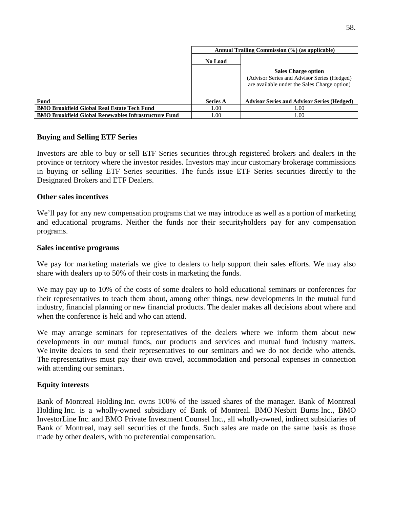|                                                             | Annual Trailing Commission (%) (as applicable) |                                                                                                                           |
|-------------------------------------------------------------|------------------------------------------------|---------------------------------------------------------------------------------------------------------------------------|
|                                                             | <b>No Load</b>                                 |                                                                                                                           |
|                                                             |                                                | <b>Sales Charge option</b><br>(Advisor Series and Advisor Series (Hedged)<br>are available under the Sales Charge option) |
| Fund                                                        | <b>Series A</b>                                | <b>Advisor Series and Advisor Series (Hedged)</b>                                                                         |
| <b>BMO Brookfield Global Real Estate Tech Fund</b>          | 1.00                                           | 1.00                                                                                                                      |
| <b>BMO Brookfield Global Renewables Infrastructure Fund</b> | 1.00                                           | 1.00                                                                                                                      |

#### **Buying and Selling ETF Series**

Investors are able to buy or sell ETF Series securities through registered brokers and dealers in the province or territory where the investor resides. Investors may incur customary brokerage commissions in buying or selling ETF Series securities. The funds issue ETF Series securities directly to the Designated Brokers and ETF Dealers.

#### **Other sales incentives**

We'll pay for any new compensation programs that we may introduce as well as a portion of marketing and educational programs. Neither the funds nor their securityholders pay for any compensation programs.

#### **Sales incentive programs**

We pay for marketing materials we give to dealers to help support their sales efforts. We may also share with dealers up to 50% of their costs in marketing the funds.

We may pay up to 10% of the costs of some dealers to hold educational seminars or conferences for their representatives to teach them about, among other things, new developments in the mutual fund industry, financial planning or new financial products. The dealer makes all decisions about where and when the conference is held and who can attend.

We may arrange seminars for representatives of the dealers where we inform them about new developments in our mutual funds, our products and services and mutual fund industry matters. We invite dealers to send their representatives to our seminars and we do not decide who attends. The representatives must pay their own travel, accommodation and personal expenses in connection with attending our seminars.

#### **Equity interests**

Bank of Montreal Holding Inc. owns 100% of the issued shares of the manager. Bank of Montreal Holding Inc. is a wholly-owned subsidiary of Bank of Montreal. BMO Nesbitt Burns Inc., BMO InvestorLine Inc. and BMO Private Investment Counsel Inc., all wholly-owned, indirect subsidiaries of Bank of Montreal, may sell securities of the funds. Such sales are made on the same basis as those made by other dealers, with no preferential compensation.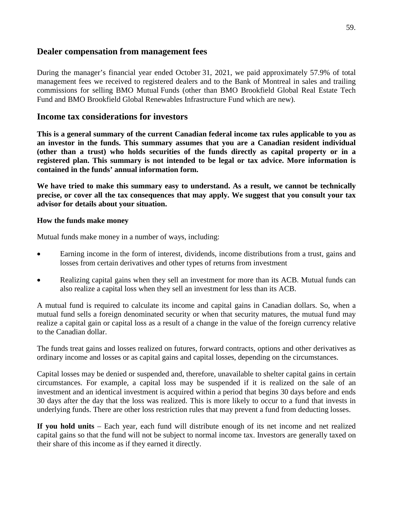# <span id="page-59-0"></span> **Dealer compensation from management fees**

 During the manager's financial year ended October 31, 2021, we paid approximately 57.9% of total management fees we received to registered dealers and to the Bank of Montreal in sales and trailing commissions for selling BMO Mutual Funds (other than BMO Brookfield Global Real Estate Tech Fund and BMO Brookfield Global Renewables Infrastructure Fund which are new).

# **Income tax considerations for investors**

 **This is a general summary of the current Canadian federal income tax rules applicable to you as an investor in the funds. This summary assumes that you are a Canadian resident individual (other than a trust) who holds securities of the funds directly as capital property or in a registered plan. This summary is not intended to be legal or tax advice. More information is contained in the funds' annual information form.** 

We have tried to make this summary easy to understand. As a result, we cannot be technically  **precise, or cover all the tax consequences that may apply. We suggest that you consult your tax advisor for details about your situation.** 

#### **How the funds make money**

Mutual funds make money in a number of ways, including:

- Earning income in the form of interest, dividends, income distributions from a trust, gains and losses from certain derivatives and other types of returns from investment
- Realizing capital gains when they sell an investment for more than its ACB. Mutual funds can also realize a capital loss when they sell an investment for less than its ACB.

 A mutual fund is required to calculate its income and capital gains in Canadian dollars. So, when a mutual fund sells a foreign denominated security or when that security matures, the mutual fund may realize a capital gain or capital loss as a result of a change in the value of the foreign currency relative to the Canadian dollar.

 The funds treat gains and losses realized on futures, forward contracts, options and other derivatives as ordinary income and losses or as capital gains and capital losses, depending on the circumstances.

 Capital losses may be denied or suspended and, therefore, unavailable to shelter capital gains in certain circumstances. For example, a capital loss may be suspended if it is realized on the sale of an investment and an identical investment is acquired within a period that begins 30 days before and ends 30 days after the day that the loss was realized. This is more likely to occur to a fund that invests in underlying funds. There are other loss restriction rules that may prevent a fund from deducting losses.

 **If you hold units** – Each year, each fund will distribute enough of its net income and net realized capital gains so that the fund will not be subject to normal income tax. Investors are generally taxed on their share of this income as if they earned it directly.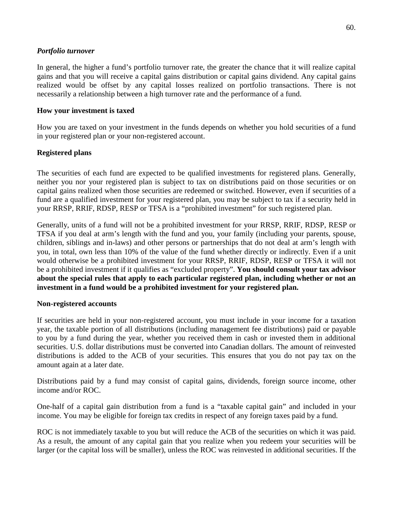#### *Portfolio turnover*

 In general, the higher a fund's portfolio turnover rate, the greater the chance that it will realize capital gains and that you will receive a capital gains distribution or capital gains dividend. Any capital gains realized would be offset by any capital losses realized on portfolio transactions. There is not necessarily a relationship between a high turnover rate and the performance of a fund.

#### **How your investment is taxed**

 How you are taxed on your investment in the funds depends on whether you hold securities of a fund in your registered plan or your non-registered account.

## **Registered plans**

 The securities of each fund are expected to be qualified investments for registered plans. Generally, neither you nor your registered plan is subject to tax on distributions paid on those securities or on capital gains realized when those securities are redeemed or switched. However, even if securities of a fund are a qualified investment for your registered plan, you may be subject to tax if a security held in your RRSP, RRIF, RDSP, RESP or TFSA is a "prohibited investment" for such registered plan.

 Generally, units of a fund will not be a prohibited investment for your RRSP, RRIF, RDSP, RESP or TFSA if you deal at arm's length with the fund and you, your family (including your parents, spouse, children, siblings and in-laws) and other persons or partnerships that do not deal at arm's length with you, in total, own less than 10% of the value of the fund whether directly or indirectly. Even if a unit would otherwise be a prohibited investment for your RRSP, RRIF, RDSP, RESP or TFSA it will not  **about the special rules that apply to each particular registered plan, including whether or not an**  be a prohibited investment if it qualifies as "excluded property". **You should consult your tax advisor investment in a fund would be a prohibited investment for your registered plan.** 

## **Non-registered accounts**

 If securities are held in your non-registered account, you must include in your income for a taxation year, the taxable portion of all distributions (including management fee distributions) paid or payable to you by a fund during the year, whether you received them in cash or invested them in additional securities. U.S. dollar distributions must be converted into Canadian dollars. The amount of reinvested distributions is added to the ACB of your securities. This ensures that you do not pay tax on the amount again at a later date.

 Distributions paid by a fund may consist of capital gains, dividends, foreign source income, other income and/or ROC.

 One-half of a capital gain distribution from a fund is a "taxable capital gain" and included in your income. You may be eligible for foreign tax credits in respect of any foreign taxes paid by a fund.

 ROC is not immediately taxable to you but will reduce the ACB of the securities on which it was paid. As a result, the amount of any capital gain that you realize when you redeem your securities will be larger (or the capital loss will be smaller), unless the ROC was reinvested in additional securities. If the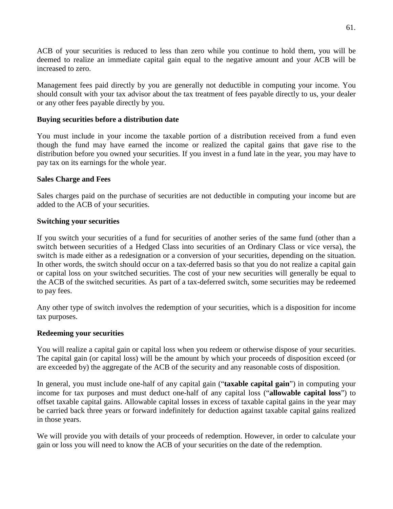ACB of your securities is reduced to less than zero while you continue to hold them, you will be deemed to realize an immediate capital gain equal to the negative amount and your ACB will be increased to zero.

 Management fees paid directly by you are generally not deductible in computing your income. You should consult with your tax advisor about the tax treatment of fees payable directly to us, your dealer or any other fees payable directly by you.

#### **Buying securities before a distribution date**

 You must include in your income the taxable portion of a distribution received from a fund even though the fund may have earned the income or realized the capital gains that gave rise to the distribution before you owned your securities. If you invest in a fund late in the year, you may have to pay tax on its earnings for the whole year.

#### **Sales Charge and Fees**

 Sales charges paid on the purchase of securities are not deductible in computing your income but are added to the ACB of your securities.

#### **Switching your securities**

 If you switch your securities of a fund for securities of another series of the same fund (other than a switch between securities of a Hedged Class into securities of an Ordinary Class or vice versa), the switch is made either as a redesignation or a conversion of your securities, depending on the situation. In other words, the switch should occur on a tax-deferred basis so that you do not realize a capital gain or capital loss on your switched securities. The cost of your new securities will generally be equal to the ACB of the switched securities. As part of a tax-deferred switch, some securities may be redeemed to pay fees.

to pay fees.<br>Any other type of switch involves the redemption of your securities, which is a disposition for income tax purposes.

#### **Redeeming your securities**

 You will realize a capital gain or capital loss when you redeem or otherwise dispose of your securities. The capital gain (or capital loss) will be the amount by which your proceeds of disposition exceed (or are exceeded by) the aggregate of the ACB of the security and any reasonable costs of disposition.

 In general, you must include one-half of any capital gain ("**taxable capital gain**") in computing your income for tax purposes and must deduct one-half of any capital loss ("**allowable capital loss**") to offset taxable capital gains. Allowable capital losses in excess of taxable capital gains in the year may be carried back three years or forward indefinitely for deduction against taxable capital gains realized in those years.

 We will provide you with details of your proceeds of redemption. However, in order to calculate your gain or loss you will need to know the ACB of your securities on the date of the redemption.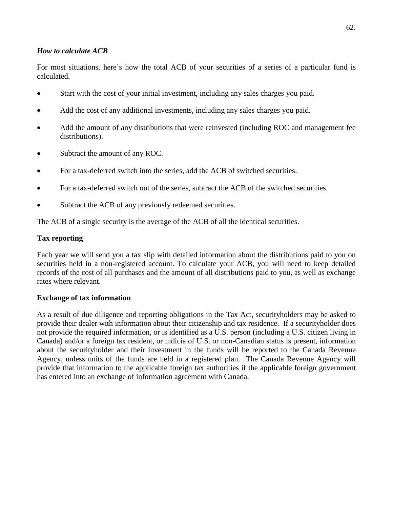#### *How to calculate ACB*

 For most situations, here's how the total ACB of your securities of a series of a particular fund is calculated.

- Start with the cost of your initial investment, including any sales charges you paid.
- Add the cost of any additional investments, including any sales charges you paid.
- Add the amount of any distributions that were reinvested (including ROC and management fee distributions).
- Subtract the amount of any ROC.
- For a tax-deferred switch into the series, add the ACB of switched securities.
- For a tax-deferred switch out of the series, subtract the ACB of the switched securities.
- Subtract the ACB of any previously redeemed securities.

The ACB of a single security is the average of the ACB of all the identical securities.

## **Tax reporting**

 Each year we will send you a tax slip with detailed information about the distributions paid to you on securities held in a non-registered account. To calculate your ACB, you will need to keep detailed records of the cost of all purchases and the amount of all distributions paid to you, as well as exchange rates where relevant.

## **Exchange of tax information**

 As a result of due diligence and reporting obligations in the Tax Act, securityholders may be asked to provide their dealer with information about their citizenship and tax residence. If a securityholder does not provide the required information, or is identified as a U.S. person (including a U.S. citizen living in Canada) and/or a foreign tax resident, or indicia of U.S. or non-Canadian status is present, information about the securityholder and their investment in the funds will be reported to the Canada Revenue Agency, unless units of the funds are held in a registered plan. The Canada Revenue Agency will provide that information to the applicable foreign tax authorities if the applicable foreign government has entered into an exchange of information agreement with Canada.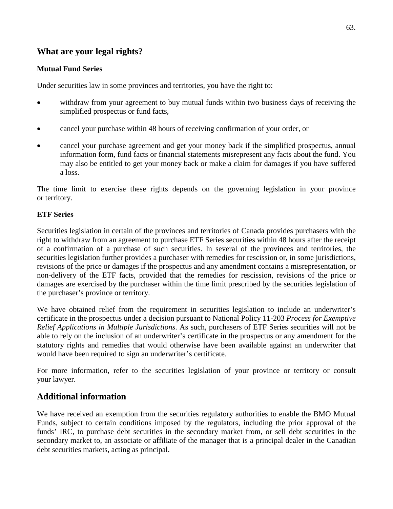# <span id="page-63-0"></span> **What are your legal rights?**

## **Mutual Fund Series**

Under securities law in some provinces and territories, you have the right to:

- withdraw from your agreement to buy mutual funds within two business days of receiving the simplified prospectus or fund facts,
- cancel your purchase within 48 hours of receiving confirmation of your order, or
- cancel your purchase agreement and get your money back if the simplified prospectus, annual information form, fund facts or financial statements misrepresent any facts about the fund. You may also be entitled to get your money back or make a claim for damages if you have suffered a loss.

 The time limit to exercise these rights depends on the governing legislation in your province or territory.

# **ETF Series**

 Securities legislation in certain of the provinces and territories of Canada provides purchasers with the right to withdraw from an agreement to purchase ETF Series securities within 48 hours after the receipt of a confirmation of a purchase of such securities. In several of the provinces and territories, the securities legislation further provides a purchaser with remedies for rescission or, in some jurisdictions, revisions of the price or damages if the prospectus and any amendment contains a misrepresentation, or non-delivery of the ETF facts, provided that the remedies for rescission, revisions of the price or damages are exercised by the purchaser within the time limit prescribed by the securities legislation of the purchaser's province or territory.

 We have obtained relief from the requirement in securities legislation to include an underwriter's  *Relief Applications in Multiple Jurisdictions*. As such, purchasers of ETF Series securities will not be able to rely on the inclusion of an underwriter's certificate in the prospectus or any amendment for the statutory rights and remedies that would otherwise have been available against an underwriter that certificate in the prospectus under a decision pursuant to National Policy 11-203 *Process for Exemptive*  would have been required to sign an underwriter's certificate.

 For more information, refer to the securities legislation of your province or territory or consult your lawyer.

# **Additional information**

We have received an exemption from the securities regulatory authorities to enable the BMO Mutual Funds, subject to certain conditions imposed by the regulators, including the prior approval of the funds' IRC, to purchase debt securities in the secondary market from, or sell debt securities in the secondary market to, an associate or affiliate of the manager that is a principal dealer in the Canadian debt securities markets, acting as principal.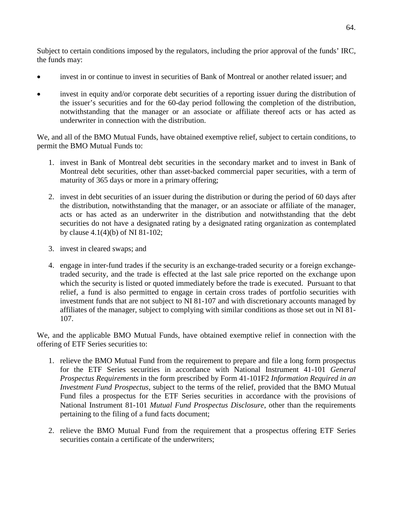Subject to certain conditions imposed by the regulators, including the prior approval of the funds' IRC, the funds may:

- invest in or continue to invest in securities of Bank of Montreal or another related issuer; and
- invest in equity and/or corporate debt securities of a reporting issuer during the distribution of the issuer's securities and for the 60-day period following the completion of the distribution, notwithstanding that the manager or an associate or affiliate thereof acts or has acted as underwriter in connection with the distribution.

 permit the BMO Mutual Funds to: We, and all of the BMO Mutual Funds, have obtained exemptive relief, subject to certain conditions, to

- 1. invest in Bank of Montreal debt securities in the secondary market and to invest in Bank of Montreal debt securities, other than asset-backed commercial paper securities, with a term of maturity of 365 days or more in a primary offering;
- 2. invest in debt securities of an issuer during the distribution or during the period of 60 days after the distribution, notwithstanding that the manager, or an associate or affiliate of the manager, acts or has acted as an underwriter in the distribution and notwithstanding that the debt securities do not have a designated rating by a designated rating organization as contemplated by clause 4.1(4)(b) of NI 81-102;
- 3. invest in cleared swaps; and
- 4. engage in inter-fund trades if the security is an exchange-traded security or a foreign exchangetraded security, and the trade is effected at the last sale price reported on the exchange upon which the security is listed or quoted immediately before the trade is executed. Pursuant to that relief, a fund is also permitted to engage in certain cross trades of portfolio securities with investment funds that are not subject to NI 81-107 and with discretionary accounts managed by affiliates of the manager, subject to complying with similar conditions as those set out in NI 81 107.

 We, and the applicable BMO Mutual Funds, have obtained exemptive relief in connection with the offering of ETF Series securities to:

- 1. relieve the BMO Mutual Fund from the requirement to prepare and file a long form prospectus for the ETF Series securities in accordance with National Instrument 41-101 *General Prospectus Requirements* in the form prescribed by Form 41-101F2 *Information Required in an Investment Fund Prospectus,* subject to the terms of the relief, provided that the BMO Mutual Fund files a prospectus for the ETF Series securities in accordance with the provisions of National Instrument 81-101 *Mutual Fund Prospectus Disclosure*, other than the requirements pertaining to the filing of a fund facts document;
- 2. relieve the BMO Mutual Fund from the requirement that a prospectus offering ETF Series securities contain a certificate of the underwriters;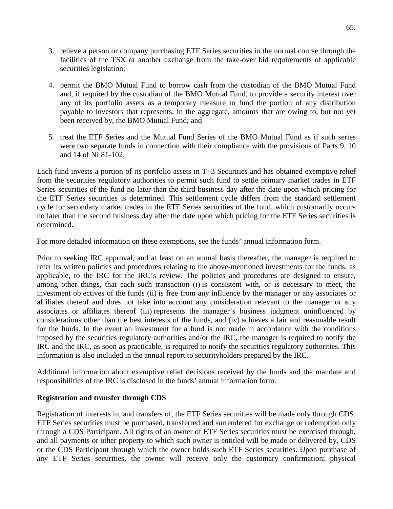- 3. relieve a person or company purchasing ETF Series securities in the normal course through the facilities of the TSX or another exchange from the take-over bid requirements of applicable securities legislation;
- 4. permit the BMO Mutual Fund to borrow cash from the custodian of the BMO Mutual Fund and, if required by the custodian of the BMO Mutual Fund, to provide a security interest over any of its portfolio assets as a temporary measure to fund the portion of any distribution payable to investors that represents, in the aggregate, amounts that are owing to, but not yet been received by, the BMO Mutual Fund; and
- 5. treat the ETF Series and the Mutual Fund Series of the BMO Mutual Fund as if such series were two separate funds in connection with their compliance with the provisions of Parts 9, 10 and 14 of NI 81-102.

 Each fund invests a portion of its portfolio assets in T+3 Securities and has obtained exemptive relief from the securities regulatory authorities to permit such fund to settle primary market trades in ETF Series securities of the fund no later than the third business day after the date upon which pricing for the ETF Series securities is determined. This settlement cycle differs from the standard settlement cycle for secondary market trades in the ETF Series securities of the fund, which customarily occurs no later than the second business day after the date upon which pricing for the ETF Series securities is determined.

For more detailed information on these exemptions, see the funds' annual information form.

 Prior to seeking IRC approval, and at least on an annual basis thereafter, the manager is required to refer its written policies and procedures relating to the above-mentioned investments for the funds, as applicable, to the IRC for the IRC's review. The policies and procedures are designed to ensure, among other things, that each such transaction (i) is consistent with, or is necessary to meet, the investment objectives of the funds (ii) is free from any influence by the manager or any associates or affiliates thereof and does not take into account any consideration relevant to the manager or any associates or affiliates thereof (iii) represents the manager's business judgment uninfluenced by considerations other than the best interests of the funds, and (iv) achieves a fair and reasonable result for the funds. In the event an investment for a fund is not made in accordance with the conditions imposed by the securities regulatory authorities and/or the IRC, the manager is required to notify the IRC and the IRC, as soon as practicable, is required to notify the securities regulatory authorities. This information is also included in the annual report to securityholders prepared by the IRC.

 Additional information about exemptive relief decisions received by the funds and the mandate and responsibilities of the IRC is disclosed in the funds' annual information form.

#### **Registration and transfer through CDS**

 Registration of interests in, and transfers of, the ETF Series securities will be made only through CDS. ETF Series securities must be purchased, transferred and surrendered for exchange or redemption only through a CDS Participant. All rights of an owner of ETF Series securities must be exercised through, and all payments or other property to which such owner is entitled will be made or delivered by, CDS or the CDS Participant through which the owner holds such ETF Series securities. Upon purchase of any ETF Series securities, the owner will receive only the customary confirmation; physical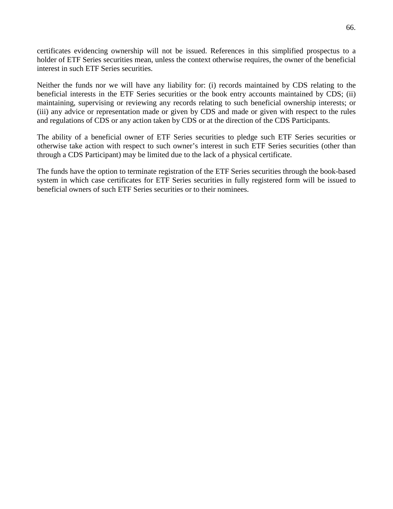certificates evidencing ownership will not be issued. References in this simplified prospectus to a holder of ETF Series securities mean, unless the context otherwise requires, the owner of the beneficial interest in such ETF Series securities

Neither the funds nor we will have any liability for: (i) records maintained by CDS relating to the beneficial interests in the ETF Series securities or the book entry accounts maintained by CDS; (ii) maintaining, supervising or reviewing any records relating to such beneficial ownership interests; or (iii) any advice or representation made or given by CDS and made or given with respect to the rules and regulations of CDS or any action taken by CDS or at the direction of the CDS Participants.

 The ability of a beneficial owner of ETF Series securities to pledge such ETF Series securities or otherwise take action with respect to such owner's interest in such ETF Series securities (other than through a CDS Participant) may be limited due to the lack of a physical certificate.

 The funds have the option to terminate registration of the ETF Series securities through the book-based system in which case certificates for ETF Series securities in fully registered form will be issued to beneficial owners of such ETF Series securities or to their nominees.